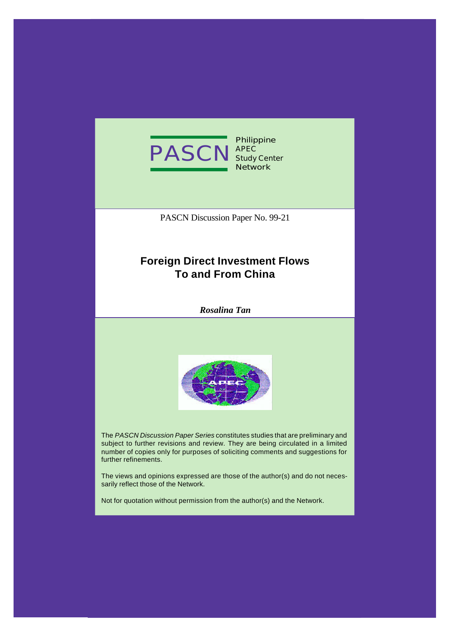

**Philippine Study Center Network**

PASCN Discussion Paper No. 99-21

# **Foreign Direct Investment Flows To and From China**

*Rosalina Tan*



The *PASCN Discussion Paper Series* constitutes studies that are preliminary and subject to further revisions and review. They are being circulated in a limited number of copies only for purposes of soliciting comments and suggestions for further refinements.

The views and opinions expressed are those of the author(s) and do not necessarily reflect those of the Network.

Not for quotation without permission from the author(s) and the Network.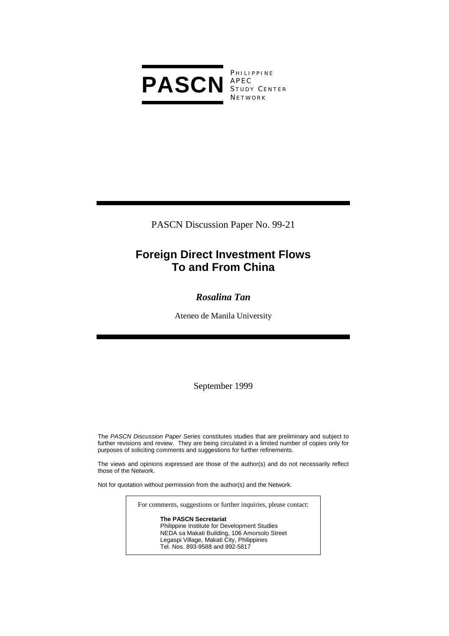

P HILIPPINE S TUDY C ENTER **NETWORK** 

PASCN Discussion Paper No. 99-21

# **Foreign Direct Investment Flows To and From China**

# *Rosalina Tan*

Ateneo de Manila University

September 1999

The *PASCN Discussion Paper Series* constitutes studies that are preliminary and subject to further revisions and review. They are being circulated in a limited number of copies only for purposes of soliciting comments and suggestions for further refinements.

The views and opinions expressed are those of the author(s) and do not necessarily reflect those of the Network.

Not for quotation without permission from the author(s) and the Network.

For comments, suggestions or further inquiries, please contact:

**The PASCN Secretariat** Philippine Institute for Development Studies NEDA sa Makati Building, 106 Amorsolo Street Legaspi Village, Makati City, Philippines Tel. Nos. 893-9588 and 892-5817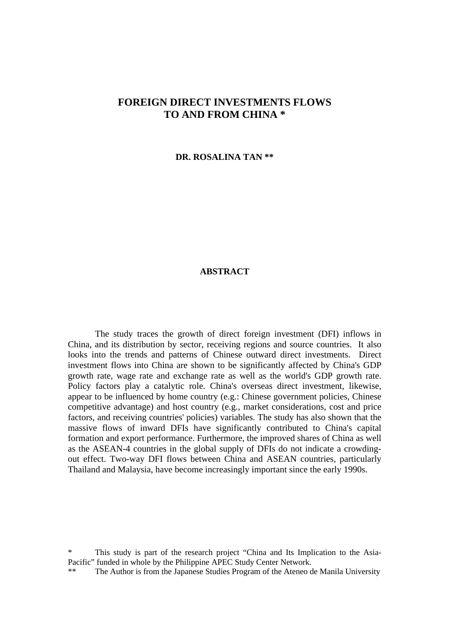# **FOREIGN DIRECT INVESTMENTS FLOWS TO AND FROM CHINA \***

**DR. ROSALINA TAN \*\***

### **ABSTRACT**

The study traces the growth of direct foreign investment (DFI) inflows in China, and its distribution by sector, receiving regions and source countries. It also looks into the trends and patterns of Chinese outward direct investments. Direct investment flows into China are shown to be significantly affected by China's GDP growth rate, wage rate and exchange rate as well as the world's GDP growth rate. Policy factors play a catalytic role. China's overseas direct investment, likewise, appear to be influenced by home country (e.g.: Chinese government policies, Chinese competitive advantage) and host country (e.g., market considerations, cost and price factors, and receiving countries' policies) variables. The study has also shown that the massive flows of inward DFIs have significantly contributed to China's capital formation and export performance. Furthermore, the improved shares of China as well as the ASEAN-4 countries in the global supply of DFIs do not indicate a crowdingout effect. Two-way DFI flows between China and ASEAN countries, particularly Thailand and Malaysia, have become increasingly important since the early 1990s.

This study is part of the research project "China and Its Implication to the Asia-Pacific" funded in whole by the Philippine APEC Study Center Network.

\*\* The Author is from the Japanese Studies Program of the Ateneo de Manila University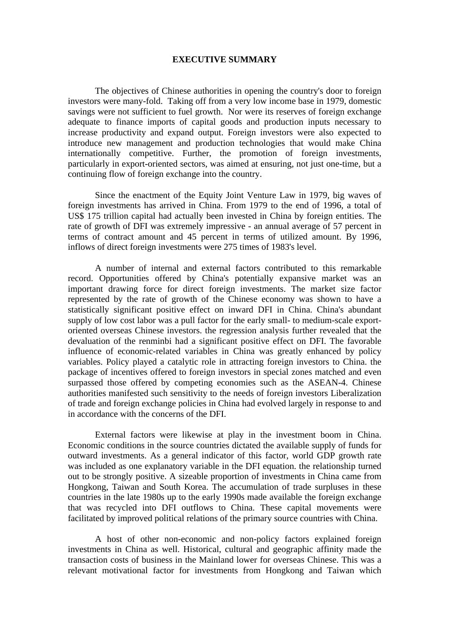#### **EXECUTIVE SUMMARY**

The objectives of Chinese authorities in opening the country's door to foreign investors were many-fold. Taking off from a very low income base in 1979, domestic savings were not sufficient to fuel growth. Nor were its reserves of foreign exchange adequate to finance imports of capital goods and production inputs necessary to increase productivity and expand output. Foreign investors were also expected to introduce new management and production technologies that would make China internationally competitive. Further, the promotion of foreign investments, particularly in export-oriented sectors, was aimed at ensuring, not just one-time, but a continuing flow of foreign exchange into the country.

Since the enactment of the Equity Joint Venture Law in 1979, big waves of foreign investments has arrived in China. From 1979 to the end of 1996, a total of US\$ 175 trillion capital had actually been invested in China by foreign entities. The rate of growth of DFI was extremely impressive - an annual average of 57 percent in terms of contract amount and 45 percent in terms of utilized amount. By 1996, inflows of direct foreign investments were 275 times of 1983's level.

A number of internal and external factors contributed to this remarkable record. Opportunities offered by China's potentially expansive market was an important drawing force for direct foreign investments. The market size factor represented by the rate of growth of the Chinese economy was shown to have a statistically significant positive effect on inward DFI in China. China's abundant supply of low cost labor was a pull factor for the early small- to medium-scale exportoriented overseas Chinese investors. the regression analysis further revealed that the devaluation of the renminbi had a significant positive effect on DFI. The favorable influence of economic-related variables in China was greatly enhanced by policy variables. Policy played a catalytic role in attracting foreign investors to China. the package of incentives offered to foreign investors in special zones matched and even surpassed those offered by competing economies such as the ASEAN-4. Chinese authorities manifested such sensitivity to the needs of foreign investors Liberalization of trade and foreign exchange policies in China had evolved largely in response to and in accordance with the concerns of the DFI.

External factors were likewise at play in the investment boom in China. Economic conditions in the source countries dictated the available supply of funds for outward investments. As a general indicator of this factor, world GDP growth rate was included as one explanatory variable in the DFI equation. the relationship turned out to be strongly positive. A sizeable proportion of investments in China came from Hongkong, Taiwan and South Korea. The accumulation of trade surpluses in these countries in the late 1980s up to the early 1990s made available the foreign exchange that was recycled into DFI outflows to China. These capital movements were facilitated by improved political relations of the primary source countries with China.

A host of other non-economic and non-policy factors explained foreign investments in China as well. Historical, cultural and geographic affinity made the transaction costs of business in the Mainland lower for overseas Chinese. This was a relevant motivational factor for investments from Hongkong and Taiwan which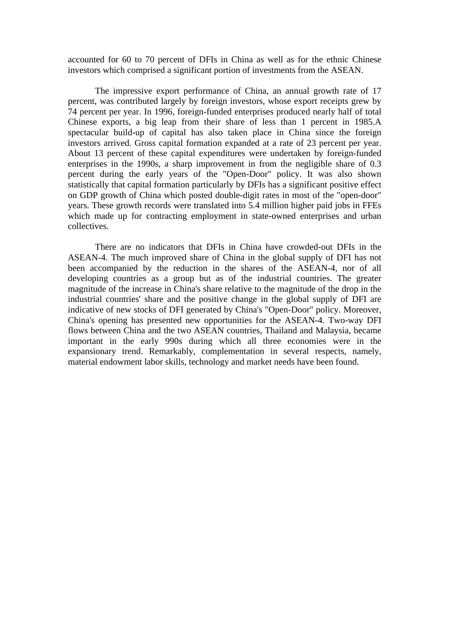accounted for 60 to 70 percent of DFIs in China as well as for the ethnic Chinese investors which comprised a significant portion of investments from the ASEAN.

The impressive export performance of China, an annual growth rate of 17 percent, was contributed largely by foreign investors, whose export receipts grew by 74 percent per year. In 1996, foreign-funded enterprises produced nearly half of total Chinese exports, a big leap from their share of less than 1 percent in 1985.A spectacular build-up of capital has also taken place in China since the foreign investors arrived. Gross capital formation expanded at a rate of 23 percent per year. About 13 percent of these capital expenditures were undertaken by foreign-funded enterprises in the 1990s, a sharp improvement in from the negligible share of 0.3 percent during the early years of the "Open-Door" policy. It was also shown statistically that capital formation particularly by DFIs has a significant positive effect on GDP growth of China which posted double-digit rates in most of the "open-door" years. These growth records were translated into 5.4 million higher paid jobs in FFEs which made up for contracting employment in state-owned enterprises and urban collectives.

There are no indicators that DFIs in China have crowded-out DFIs in the ASEAN-4. The much improved share of China in the global supply of DFI has not been accompanied by the reduction in the shares of the ASEAN-4, nor of all developing countries as a group but as of the industrial countries. The greater magnitude of the increase in China's share relative to the magnitude of the drop in the industrial countries' share and the positive change in the global supply of DFI are indicative of new stocks of DFI generated by China's "Open-Door" policy. Moreover, China's opening has presented new opportunities for the ASEAN-4. Two-way DFI flows between China and the two ASEAN countries, Thailand and Malaysia, became important in the early 990s during which all three economies were in the expansionary trend. Remarkably, complementation in several respects, namely, material endowment labor skills, technology and market needs have been found.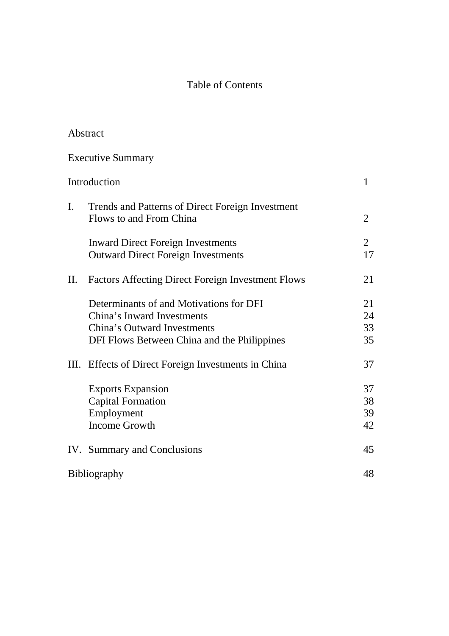# Table of Contents

Abstract

|     | <b>Executive Summary</b>                                                                                                                            |                      |
|-----|-----------------------------------------------------------------------------------------------------------------------------------------------------|----------------------|
|     | Introduction                                                                                                                                        | $\mathbf{1}$         |
| I.  | Trends and Patterns of Direct Foreign Investment<br>Flows to and From China                                                                         | $\overline{2}$       |
|     | <b>Inward Direct Foreign Investments</b><br><b>Outward Direct Foreign Investments</b>                                                               | $\overline{2}$<br>17 |
| II. | <b>Factors Affecting Direct Foreign Investment Flows</b>                                                                                            | 21                   |
|     | Determinants of and Motivations for DFI<br>China's Inward Investments<br>China's Outward Investments<br>DFI Flows Between China and the Philippines | 21<br>24<br>33<br>35 |
| Ш.  | Effects of Direct Foreign Investments in China                                                                                                      | 37                   |
|     | <b>Exports Expansion</b><br><b>Capital Formation</b><br>Employment<br><b>Income Growth</b>                                                          | 37<br>38<br>39<br>42 |
|     | IV. Summary and Conclusions                                                                                                                         | 45                   |
|     | <b>Bibliography</b>                                                                                                                                 | 48                   |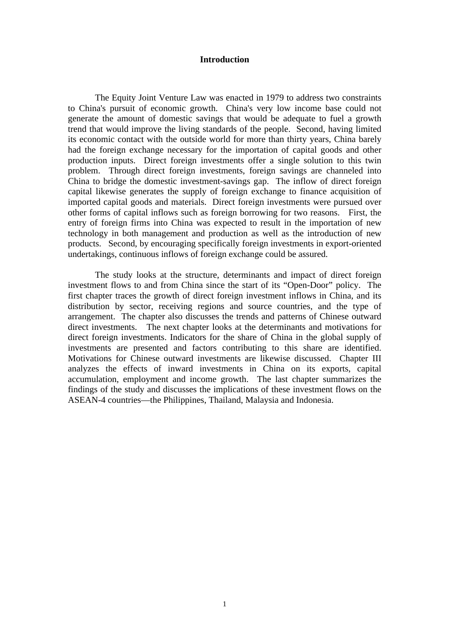#### **Introduction**

The Equity Joint Venture Law was enacted in 1979 to address two constraints to China's pursuit of economic growth. China's very low income base could not generate the amount of domestic savings that would be adequate to fuel a growth trend that would improve the living standards of the people. Second, having limited its economic contact with the outside world for more than thirty years, China barely had the foreign exchange necessary for the importation of capital goods and other production inputs. Direct foreign investments offer a single solution to this twin problem. Through direct foreign investments, foreign savings are channeled into China to bridge the domestic investment-savings gap. The inflow of direct foreign capital likewise generates the supply of foreign exchange to finance acquisition of imported capital goods and materials. Direct foreign investments were pursued over other forms of capital inflows such as foreign borrowing for two reasons. First, the entry of foreign firms into China was expected to result in the importation of new technology in both management and production as well as the introduction of new products. Second, by encouraging specifically foreign investments in export-oriented undertakings, continuous inflows of foreign exchange could be assured.

The study looks at the structure, determinants and impact of direct foreign investment flows to and from China since the start of its "Open-Door" policy. The first chapter traces the growth of direct foreign investment inflows in China, and its distribution by sector, receiving regions and source countries, and the type of arrangement. The chapter also discusses the trends and patterns of Chinese outward direct investments. The next chapter looks at the determinants and motivations for direct foreign investments. Indicators for the share of China in the global supply of investments are presented and factors contributing to this share are identified. Motivations for Chinese outward investments are likewise discussed. Chapter III analyzes the effects of inward investments in China on its exports, capital accumulation, employment and income growth. The last chapter summarizes the findings of the study and discusses the implications of these investment flows on the ASEAN-4 countries—the Philippines, Thailand, Malaysia and Indonesia.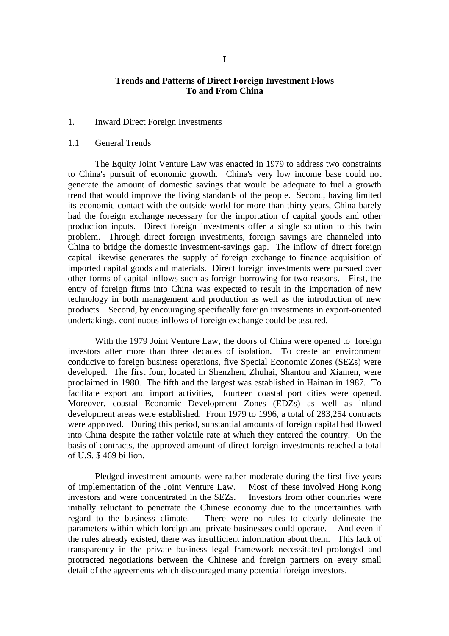## **Trends and Patterns of Direct Foreign Investment Flows To and From China**

#### 1. Inward Direct Foreign Investments

#### 1.1 General Trends

The Equity Joint Venture Law was enacted in 1979 to address two constraints to China's pursuit of economic growth. China's very low income base could not generate the amount of domestic savings that would be adequate to fuel a growth trend that would improve the living standards of the people. Second, having limited its economic contact with the outside world for more than thirty years, China barely had the foreign exchange necessary for the importation of capital goods and other production inputs. Direct foreign investments offer a single solution to this twin problem. Through direct foreign investments, foreign savings are channeled into China to bridge the domestic investment-savings gap. The inflow of direct foreign capital likewise generates the supply of foreign exchange to finance acquisition of imported capital goods and materials. Direct foreign investments were pursued over other forms of capital inflows such as foreign borrowing for two reasons. First, the entry of foreign firms into China was expected to result in the importation of new technology in both management and production as well as the introduction of new products. Second, by encouraging specifically foreign investments in export-oriented undertakings, continuous inflows of foreign exchange could be assured.

With the 1979 Joint Venture Law, the doors of China were opened to foreign investors after more than three decades of isolation. To create an environment conducive to foreign business operations, five Special Economic Zones (SEZs) were developed. The first four, located in Shenzhen, Zhuhai, Shantou and Xiamen, were proclaimed in 1980. The fifth and the largest was established in Hainan in 1987. To facilitate export and import activities, fourteen coastal port cities were opened. Moreover, coastal Economic Development Zones (EDZs) as well as inland development areas were established. From 1979 to 1996, a total of 283,254 contracts were approved. During this period, substantial amounts of foreign capital had flowed into China despite the rather volatile rate at which they entered the country. On the basis of contracts, the approved amount of direct foreign investments reached a total of U.S. \$ 469 billion.

Pledged investment amounts were rather moderate during the first five years of implementation of the Joint Venture Law. Most of these involved Hong Kong investors and were concentrated in the SEZs. Investors from other countries were initially reluctant to penetrate the Chinese economy due to the uncertainties with regard to the business climate. There were no rules to clearly delineate the parameters within which foreign and private businesses could operate. And even if the rules already existed, there was insufficient information about them. This lack of transparency in the private business legal framework necessitated prolonged and protracted negotiations between the Chinese and foreign partners on every small detail of the agreements which discouraged many potential foreign investors.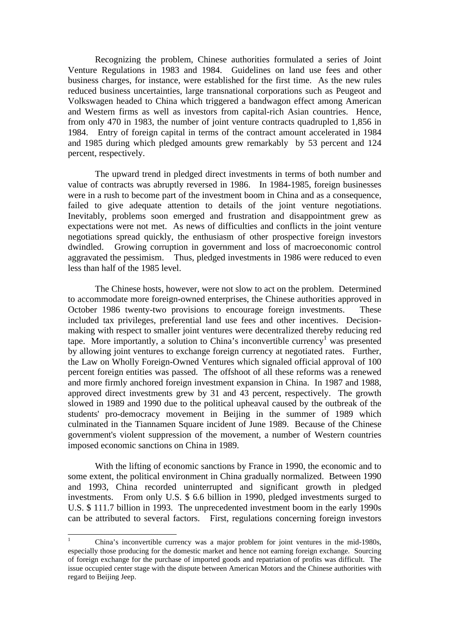Recognizing the problem, Chinese authorities formulated a series of Joint Venture Regulations in 1983 and 1984. Guidelines on land use fees and other business charges, for instance, were established for the first time. As the new rules reduced business uncertainties, large transnational corporations such as Peugeot and Volkswagen headed to China which triggered a bandwagon effect among American and Western firms as well as investors from capital-rich Asian countries. Hence, from only 470 in 1983, the number of joint venture contracts quadrupled to 1,856 in 1984. Entry of foreign capital in terms of the contract amount accelerated in 1984 and 1985 during which pledged amounts grew remarkably by 53 percent and 124 percent, respectively.

The upward trend in pledged direct investments in terms of both number and value of contracts was abruptly reversed in 1986. In 1984-1985, foreign businesses were in a rush to become part of the investment boom in China and as a consequence, failed to give adequate attention to details of the joint venture negotiations. Inevitably, problems soon emerged and frustration and disappointment grew as expectations were not met. As news of difficulties and conflicts in the joint venture negotiations spread quickly, the enthusiasm of other prospective foreign investors dwindled. Growing corruption in government and loss of macroeconomic control aggravated the pessimism. Thus, pledged investments in 1986 were reduced to even less than half of the 1985 level.

The Chinese hosts, however, were not slow to act on the problem. Determined to accommodate more foreign-owned enterprises, the Chinese authorities approved in October 1986 twenty-two provisions to encourage foreign investments. These included tax privileges, preferential land use fees and other incentives. Decisionmaking with respect to smaller joint ventures were decentralized thereby reducing red tape. More importantly, a solution to China's inconvertible currency<sup>1</sup> was presented by allowing joint ventures to exchange foreign currency at negotiated rates. Further, the Law on Wholly Foreign-Owned Ventures which signaled official approval of 100 percent foreign entities was passed. The offshoot of all these reforms was a renewed and more firmly anchored foreign investment expansion in China. In 1987 and 1988, approved direct investments grew by 31 and 43 percent, respectively. The growth slowed in 1989 and 1990 due to the political upheaval caused by the outbreak of the students' pro-democracy movement in Beijing in the summer of 1989 which culminated in the Tiannamen Square incident of June 1989. Because of the Chinese government's violent suppression of the movement, a number of Western countries imposed economic sanctions on China in 1989.

With the lifting of economic sanctions by France in 1990, the economic and to some extent, the political environment in China gradually normalized. Between 1990 and 1993, China recorded uninterrupted and significant growth in pledged investments. From only U.S. \$ 6.6 billion in 1990, pledged investments surged to U.S. \$ 111.7 billion in 1993. The unprecedented investment boom in the early 1990s can be attributed to several factors. First, regulations concerning foreign investors

 $\overline{a}$ 

<sup>1</sup> China's inconvertible currency was a major problem for joint ventures in the mid-1980s, especially those producing for the domestic market and hence not earning foreign exchange. Sourcing of foreign exchange for the purchase of imported goods and repatriation of profits was difficult. The issue occupied center stage with the dispute between American Motors and the Chinese authorities with regard to Beijing Jeep.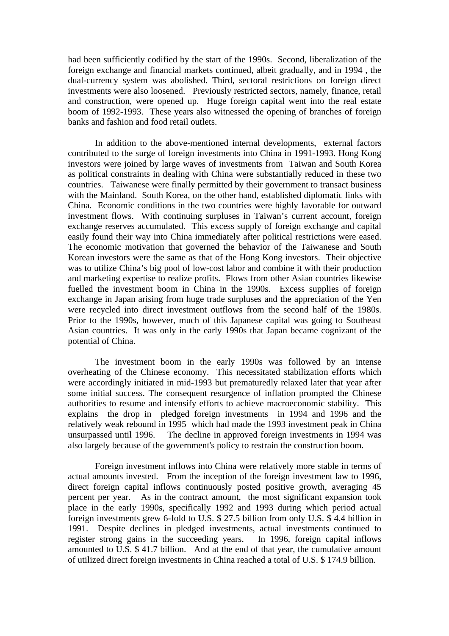had been sufficiently codified by the start of the 1990s. Second, liberalization of the foreign exchange and financial markets continued, albeit gradually, and in 1994 , the dual-currency system was abolished. Third, sectoral restrictions on foreign direct investments were also loosened. Previously restricted sectors, namely, finance, retail and construction, were opened up. Huge foreign capital went into the real estate boom of 1992-1993. These years also witnessed the opening of branches of foreign banks and fashion and food retail outlets.

In addition to the above-mentioned internal developments, external factors contributed to the surge of foreign investments into China in 1991-1993. Hong Kong investors were joined by large waves of investments from Taiwan and South Korea as political constraints in dealing with China were substantially reduced in these two countries. Taiwanese were finally permitted by their government to transact business with the Mainland. South Korea, on the other hand, established diplomatic links with China. Economic conditions in the two countries were highly favorable for outward investment flows. With continuing surpluses in Taiwan's current account, foreign exchange reserves accumulated. This excess supply of foreign exchange and capital easily found their way into China immediately after political restrictions were eased. The economic motivation that governed the behavior of the Taiwanese and South Korean investors were the same as that of the Hong Kong investors. Their objective was to utilize China's big pool of low-cost labor and combine it with their production and marketing expertise to realize profits. Flows from other Asian countries likewise fuelled the investment boom in China in the 1990s. Excess supplies of foreign exchange in Japan arising from huge trade surpluses and the appreciation of the Yen were recycled into direct investment outflows from the second half of the 1980s. Prior to the 1990s, however, much of this Japanese capital was going to Southeast Asian countries. It was only in the early 1990s that Japan became cognizant of the potential of China.

The investment boom in the early 1990s was followed by an intense overheating of the Chinese economy. This necessitated stabilization efforts which were accordingly initiated in mid-1993 but prematuredly relaxed later that year after some initial success. The consequent resurgence of inflation prompted the Chinese authorities to resume and intensify efforts to achieve macroeconomic stability. This explains the drop in pledged foreign investments in 1994 and 1996 and the relatively weak rebound in 1995 which had made the 1993 investment peak in China unsurpassed until 1996. The decline in approved foreign investments in 1994 was also largely because of the government's policy to restrain the construction boom.

Foreign investment inflows into China were relatively more stable in terms of actual amounts invested. From the inception of the foreign investment law to 1996, direct foreign capital inflows continuously posted positive growth, averaging 45 percent per year. As in the contract amount, the most significant expansion took place in the early 1990s, specifically 1992 and 1993 during which period actual foreign investments grew 6-fold to U.S. \$ 27.5 billion from only U.S. \$ 4.4 billion in 1991. Despite declines in pledged investments, actual investments continued to register strong gains in the succeeding years. In 1996, foreign capital inflows amounted to U.S. \$ 41.7 billion. And at the end of that year, the cumulative amount of utilized direct foreign investments in China reached a total of U.S. \$ 174.9 billion.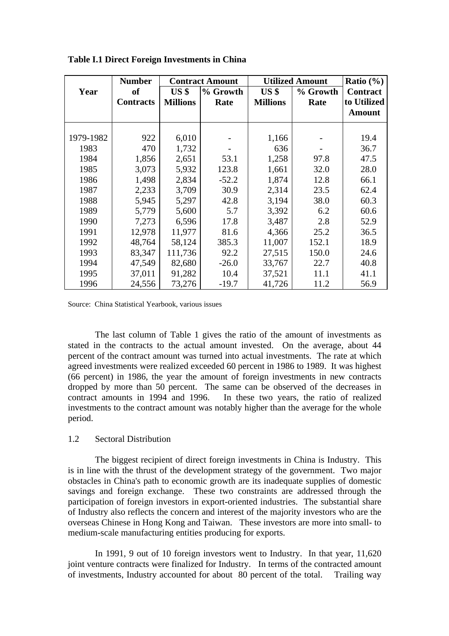|           | <b>Number</b>    | <b>Contract Amount</b> |          |                 |          | <b>Utilized Amount</b> |  | Ratio $(\% )$ |
|-----------|------------------|------------------------|----------|-----------------|----------|------------------------|--|---------------|
| Year      | <b>of</b>        | US <sub>3</sub>        | % Growth | US <sub>3</sub> | % Growth | <b>Contract</b>        |  |               |
|           | <b>Contracts</b> | <b>Millions</b>        | Rate     | <b>Millions</b> | Rate     | to Utilized            |  |               |
|           |                  |                        |          |                 |          | <b>Amount</b>          |  |               |
|           |                  |                        |          |                 |          |                        |  |               |
| 1979-1982 | 922              | 6,010                  |          | 1,166           |          | 19.4                   |  |               |
| 1983      | 470              | 1,732                  |          | 636             |          | 36.7                   |  |               |
| 1984      | 1,856            | 2,651                  | 53.1     | 1,258           | 97.8     | 47.5                   |  |               |
| 1985      | 3,073            | 5,932                  | 123.8    | 1,661           | 32.0     | 28.0                   |  |               |
| 1986      | 1,498            | 2,834                  | $-52.2$  | 1,874           | 12.8     | 66.1                   |  |               |
| 1987      | 2,233            | 3,709                  | 30.9     | 2,314           | 23.5     | 62.4                   |  |               |
| 1988      | 5,945            | 5,297                  | 42.8     | 3,194           | 38.0     | 60.3                   |  |               |
| 1989      | 5,779            | 5,600                  | 5.7      | 3,392           | 6.2      | 60.6                   |  |               |
| 1990      | 7,273            | 6,596                  | 17.8     | 3,487           | 2.8      | 52.9                   |  |               |
| 1991      | 12,978           | 11,977                 | 81.6     | 4,366           | 25.2     | 36.5                   |  |               |
| 1992      | 48,764           | 58,124                 | 385.3    | 11,007          | 152.1    | 18.9                   |  |               |
| 1993      | 83,347           | 111,736                | 92.2     | 27,515          | 150.0    | 24.6                   |  |               |
| 1994      | 47,549           | 82,680                 | $-26.0$  | 33,767          | 22.7     | 40.8                   |  |               |
| 1995      | 37,011           | 91,282                 | 10.4     | 37,521          | 11.1     | 41.1                   |  |               |
| 1996      | 24,556           | 73,276                 | $-19.7$  | 41,726          | 11.2     | 56.9                   |  |               |

**Table I.1 Direct Foreign Investments in China**

Source: China Statistical Yearbook, various issues

The last column of Table 1 gives the ratio of the amount of investments as stated in the contracts to the actual amount invested. On the average, about 44 percent of the contract amount was turned into actual investments. The rate at which agreed investments were realized exceeded 60 percent in 1986 to 1989. It was highest (66 percent) in 1986, the year the amount of foreign investments in new contracts dropped by more than 50 percent. The same can be observed of the decreases in contract amounts in 1994 and 1996. In these two years, the ratio of realized investments to the contract amount was notably higher than the average for the whole period.

#### 1.2 Sectoral Distribution

The biggest recipient of direct foreign investments in China is Industry. This is in line with the thrust of the development strategy of the government. Two major obstacles in China's path to economic growth are its inadequate supplies of domestic savings and foreign exchange. These two constraints are addressed through the participation of foreign investors in export-oriented industries. The substantial share of Industry also reflects the concern and interest of the majority investors who are the overseas Chinese in Hong Kong and Taiwan. These investors are more into small- to medium-scale manufacturing entities producing for exports.

In 1991, 9 out of 10 foreign investors went to Industry. In that year, 11,620 joint venture contracts were finalized for Industry. In terms of the contracted amount of investments, Industry accounted for about 80 percent of the total. Trailing way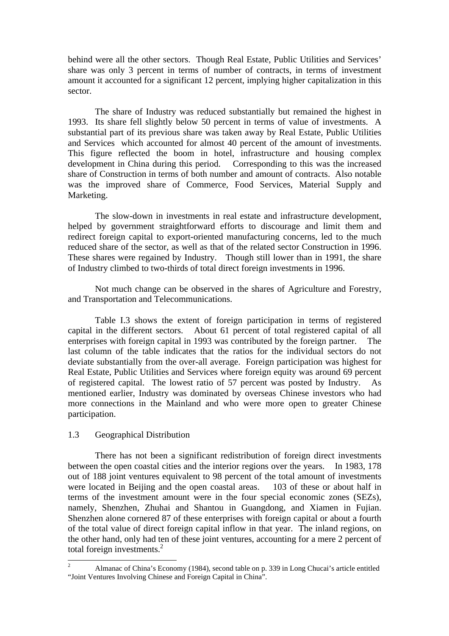behind were all the other sectors. Though Real Estate, Public Utilities and Services' share was only 3 percent in terms of number of contracts, in terms of investment amount it accounted for a significant 12 percent, implying higher capitalization in this sector.

The share of Industry was reduced substantially but remained the highest in 1993. Its share fell slightly below 50 percent in terms of value of investments. A substantial part of its previous share was taken away by Real Estate, Public Utilities and Services which accounted for almost 40 percent of the amount of investments. This figure reflected the boom in hotel, infrastructure and housing complex development in China during this period. Corresponding to this was the increased share of Construction in terms of both number and amount of contracts. Also notable was the improved share of Commerce, Food Services, Material Supply and Marketing.

The slow-down in investments in real estate and infrastructure development, helped by government straightforward efforts to discourage and limit them and redirect foreign capital to export-oriented manufacturing concerns, led to the much reduced share of the sector, as well as that of the related sector Construction in 1996. These shares were regained by Industry. Though still lower than in 1991, the share of Industry climbed to two-thirds of total direct foreign investments in 1996.

Not much change can be observed in the shares of Agriculture and Forestry, and Transportation and Telecommunications.

Table I.3 shows the extent of foreign participation in terms of registered capital in the different sectors. About 61 percent of total registered capital of all enterprises with foreign capital in 1993 was contributed by the foreign partner. The last column of the table indicates that the ratios for the individual sectors do not deviate substantially from the over-all average. Foreign participation was highest for Real Estate, Public Utilities and Services where foreign equity was around 69 percent of registered capital. The lowest ratio of 57 percent was posted by Industry. As mentioned earlier, Industry was dominated by overseas Chinese investors who had more connections in the Mainland and who were more open to greater Chinese participation.

#### 1.3 Geographical Distribution

There has not been a significant redistribution of foreign direct investments between the open coastal cities and the interior regions over the years. In 1983, 178 out of 188 joint ventures equivalent to 98 percent of the total amount of investments were located in Beijing and the open coastal areas. 103 of these or about half in terms of the investment amount were in the four special economic zones (SEZs), namely, Shenzhen, Zhuhai and Shantou in Guangdong, and Xiamen in Fujian. Shenzhen alone cornered 87 of these enterprises with foreign capital or about a fourth of the total value of direct foreign capital inflow in that year. The inland regions, on the other hand, only had ten of these joint ventures, accounting for a mere 2 percent of total foreign investments.<sup>2</sup>

 $\overline{c}$ <sup>2</sup> Almanac of China's Economy (1984), second table on p. 339 in Long Chucai's article entitled "Joint Ventures Involving Chinese and Foreign Capital in China".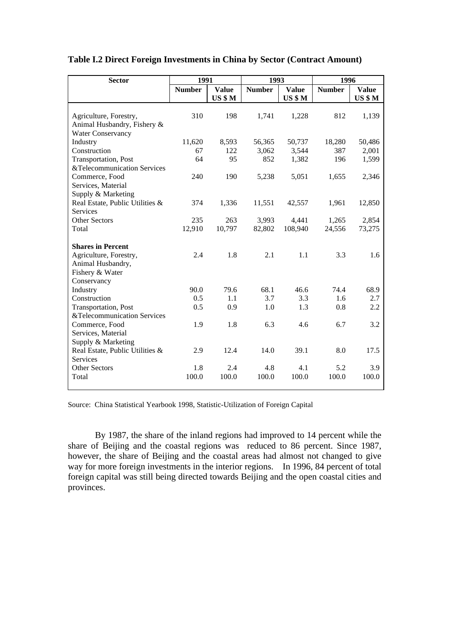| <b>Sector</b>                   | 1991          |              | 1993          |                | 1996          |                |
|---------------------------------|---------------|--------------|---------------|----------------|---------------|----------------|
|                                 | <b>Number</b> | <b>Value</b> | <b>Number</b> | <b>Value</b>   | <b>Number</b> | <b>Value</b>   |
|                                 |               | US \$M       |               | <b>US \$ M</b> |               | <b>US \$ M</b> |
|                                 |               |              |               |                |               |                |
| Agriculture, Forestry,          | 310           | 198          | 1,741         | 1,228          | 812           | 1,139          |
| Animal Husbandry, Fishery &     |               |              |               |                |               |                |
| <b>Water Conservancy</b>        |               |              |               |                |               |                |
| Industry                        | 11,620        | 8,593        | 56,365        | 50,737         | 18,280        | 50,486         |
| Construction                    | 67            | 122          | 3,062         | 3,544          | 387           | 2,001          |
| Transportation, Post            | 64            | 95           | 852           | 1,382          | 196           | 1,599          |
| &Telecommunication Services     |               |              |               |                |               |                |
| Commerce, Food                  | 240           | 190          | 5,238         | 5,051          | 1,655         | 2,346          |
| Services, Material              |               |              |               |                |               |                |
| Supply & Marketing              |               |              |               |                |               |                |
| Real Estate, Public Utilities & | 374           | 1,336        | 11,551        | 42,557         | 1,961         | 12,850         |
| <b>Services</b>                 |               |              |               |                |               |                |
| <b>Other Sectors</b>            | 235           | 263          | 3,993         | 4,441          | 1,265         | 2,854          |
| Total                           | 12,910        | 10,797       | 82,802        | 108,940        | 24,556        | 73,275         |
|                                 |               |              |               |                |               |                |
| <b>Shares in Percent</b>        |               |              |               |                |               |                |
| Agriculture, Forestry,          | 2.4           | 1.8          | 2.1           | 1.1            | 3.3           | 1.6            |
| Animal Husbandry,               |               |              |               |                |               |                |
| Fishery & Water                 |               |              |               |                |               |                |
| Conservancy                     |               |              |               |                |               |                |
| Industry                        | 90.0          | 79.6         | 68.1          | 46.6           | 74.4          | 68.9           |
| Construction                    | 0.5           | 1.1          | 3.7           | 3.3            | 1.6           | 2.7            |
| Transportation, Post            | 0.5           | 0.9          | 1.0           | 1.3            | 0.8           | 2.2            |
| &Telecommunication Services     |               |              |               |                |               |                |
| Commerce, Food                  | 1.9           | 1.8          | 6.3           | 4.6            | 6.7           | 3.2            |
| Services, Material              |               |              |               |                |               |                |
| Supply & Marketing              |               |              |               |                |               |                |
| Real Estate, Public Utilities & | 2.9           | 12.4         | 14.0          | 39.1           | 8.0           | 17.5           |
| <b>Services</b>                 |               |              |               |                |               |                |
| <b>Other Sectors</b>            | 1.8           | 2.4          | 4.8           | 4.1            | 5.2           | 3.9            |
| Total                           | 100.0         | 100.0        | 100.0         | 100.0          | 100.0         | 100.0          |
|                                 |               |              |               |                |               |                |

## **Table I.2 Direct Foreign Investments in China by Sector (Contract Amount)**

Source: China Statistical Yearbook 1998, Statistic-Utilization of Foreign Capital

By 1987, the share of the inland regions had improved to 14 percent while the share of Beijing and the coastal regions was reduced to 86 percent. Since 1987, however, the share of Beijing and the coastal areas had almost not changed to give way for more foreign investments in the interior regions. In 1996, 84 percent of total foreign capital was still being directed towards Beijing and the open coastal cities and provinces.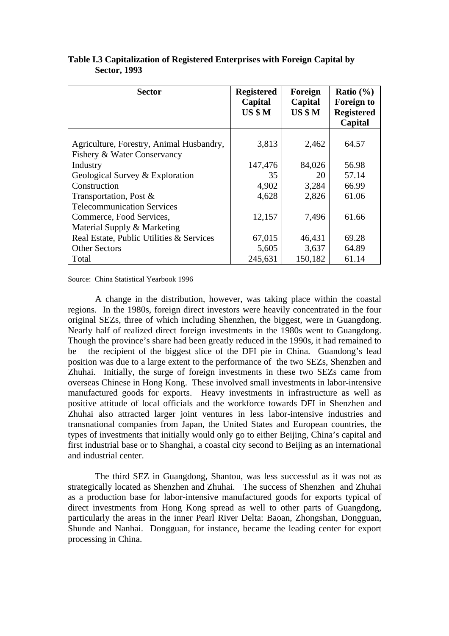| <b>Sector</b>                                                           | <b>Registered</b><br>Capital<br>US \$M | Foreign<br>Capital<br>US \$M | Ratio $(\% )$<br><b>Foreign to</b><br><b>Registered</b><br>Capital |
|-------------------------------------------------------------------------|----------------------------------------|------------------------------|--------------------------------------------------------------------|
| Agriculture, Forestry, Animal Husbandry,<br>Fishery & Water Conservancy | 3,813                                  | 2,462                        | 64.57                                                              |
| Industry                                                                | 147,476                                | 84,026                       | 56.98                                                              |
| Geological Survey & Exploration                                         | 35                                     | 20                           | 57.14                                                              |
| Construction                                                            | 4,902                                  | 3,284                        | 66.99                                                              |
| Transportation, Post &                                                  | 4,628                                  | 2,826                        | 61.06                                                              |
| <b>Telecommunication Services</b>                                       |                                        |                              |                                                                    |
| Commerce, Food Services,                                                | 12,157                                 | 7.496                        | 61.66                                                              |
| Material Supply & Marketing                                             |                                        |                              |                                                                    |
| Real Estate, Public Utilities & Services                                | 67,015                                 | 46,431                       | 69.28                                                              |
| <b>Other Sectors</b>                                                    | 5,605                                  | 3,637                        | 64.89                                                              |
| Total                                                                   | 245,631                                | 150,182                      | 61.14                                                              |

**Table I.3 Capitalization of Registered Enterprises with Foreign Capital by Sector, 1993**

Source: China Statistical Yearbook 1996

A change in the distribution, however, was taking place within the coastal regions. In the 1980s, foreign direct investors were heavily concentrated in the four original SEZs, three of which including Shenzhen, the biggest, were in Guangdong. Nearly half of realized direct foreign investments in the 1980s went to Guangdong. Though the province's share had been greatly reduced in the 1990s, it had remained to be the recipient of the biggest slice of the DFI pie in China. Guandong's lead position was due to a large extent to the performance of the two SEZs, Shenzhen and Zhuhai. Initially, the surge of foreign investments in these two SEZs came from overseas Chinese in Hong Kong. These involved small investments in labor-intensive manufactured goods for exports. Heavy investments in infrastructure as well as positive attitude of local officials and the workforce towards DFI in Shenzhen and Zhuhai also attracted larger joint ventures in less labor-intensive industries and transnational companies from Japan, the United States and European countries, the types of investments that initially would only go to either Beijing, China's capital and first industrial base or to Shanghai, a coastal city second to Beijing as an international and industrial center.

The third SEZ in Guangdong, Shantou, was less successful as it was not as strategically located as Shenzhen and Zhuhai. The success of Shenzhen and Zhuhai as a production base for labor-intensive manufactured goods for exports typical of direct investments from Hong Kong spread as well to other parts of Guangdong, particularly the areas in the inner Pearl River Delta: Baoan, Zhongshan, Dongguan, Shunde and Nanhai. Dongguan, for instance, became the leading center for export processing in China.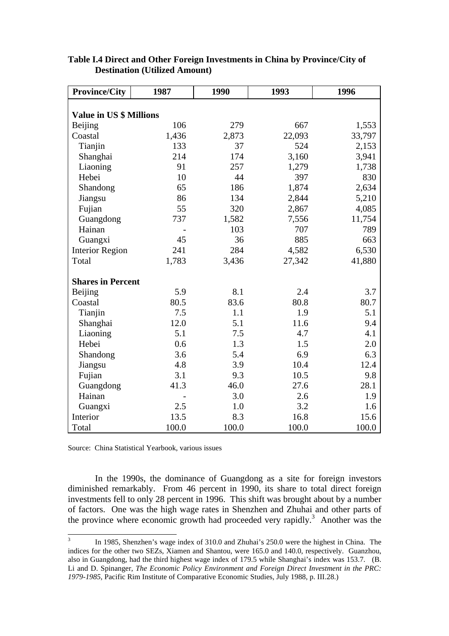| <b>Province/City</b>           | 1987  | 1990  | 1993   | 1996   |  |  |  |  |  |  |
|--------------------------------|-------|-------|--------|--------|--|--|--|--|--|--|
|                                |       |       |        |        |  |  |  |  |  |  |
| <b>Value in US \$ Millions</b> |       |       |        |        |  |  |  |  |  |  |
| Beijing                        | 106   | 279   | 667    | 1,553  |  |  |  |  |  |  |
| Coastal                        | 1,436 | 2,873 | 22,093 | 33,797 |  |  |  |  |  |  |
| Tianjin                        | 133   | 37    | 524    | 2,153  |  |  |  |  |  |  |
| Shanghai                       | 214   | 174   | 3,160  | 3,941  |  |  |  |  |  |  |
| Liaoning                       | 91    | 257   | 1,279  | 1,738  |  |  |  |  |  |  |
| Hebei                          | 10    | 44    | 397    | 830    |  |  |  |  |  |  |
| Shandong                       | 65    | 186   | 1,874  | 2,634  |  |  |  |  |  |  |
| Jiangsu                        | 86    | 134   | 2,844  | 5,210  |  |  |  |  |  |  |
| Fujian                         | 55    | 320   | 2,867  | 4,085  |  |  |  |  |  |  |
| Guangdong                      | 737   | 1,582 | 7,556  | 11,754 |  |  |  |  |  |  |
| Hainan                         |       | 103   | 707    | 789    |  |  |  |  |  |  |
| Guangxi                        | 45    | 36    | 885    | 663    |  |  |  |  |  |  |
| <b>Interior Region</b>         | 241   | 284   | 4,582  | 6,530  |  |  |  |  |  |  |
| Total                          | 1,783 | 3,436 | 27,342 | 41,880 |  |  |  |  |  |  |
| <b>Shares in Percent</b>       |       |       |        |        |  |  |  |  |  |  |
| Beijing                        | 5.9   | 8.1   | 2.4    | 3.7    |  |  |  |  |  |  |
| Coastal                        | 80.5  | 83.6  | 80.8   | 80.7   |  |  |  |  |  |  |
| Tianjin                        | 7.5   | 1.1   | 1.9    | 5.1    |  |  |  |  |  |  |
| Shanghai                       | 12.0  | 5.1   | 11.6   | 9.4    |  |  |  |  |  |  |
| Liaoning                       | 5.1   | 7.5   | 4.7    | 4.1    |  |  |  |  |  |  |
| Hebei                          | 0.6   | 1.3   | 1.5    | 2.0    |  |  |  |  |  |  |
| Shandong                       | 3.6   | 5.4   | 6.9    | 6.3    |  |  |  |  |  |  |
| Jiangsu                        | 4.8   | 3.9   | 10.4   | 12.4   |  |  |  |  |  |  |
| Fujian                         | 3.1   | 9.3   | 10.5   | 9.8    |  |  |  |  |  |  |
| Guangdong                      | 41.3  | 46.0  | 27.6   | 28.1   |  |  |  |  |  |  |
| Hainan                         |       | 3.0   | 2.6    | 1.9    |  |  |  |  |  |  |
| Guangxi                        | 2.5   | 1.0   | 3.2    | 1.6    |  |  |  |  |  |  |
| Interior                       | 13.5  | 8.3   | 16.8   | 15.6   |  |  |  |  |  |  |
| Total                          | 100.0 | 100.0 | 100.0  | 100.0  |  |  |  |  |  |  |

## **Table I.4 Direct and Other Foreign Investments in China by Province/City of Destination (Utilized Amount)**

Source: China Statistical Yearbook, various issues

In the 1990s, the dominance of Guangdong as a site for foreign investors diminished remarkably. From 46 percent in 1990, its share to total direct foreign investments fell to only 28 percent in 1996. This shift was brought about by a number of factors. One was the high wage rates in Shenzhen and Zhuhai and other parts of the province where economic growth had proceeded very rapidly.<sup>3</sup> Another was the

 3 In 1985, Shenzhen's wage index of 310.0 and Zhuhai's 250.0 were the highest in China. The indices for the other two SEZs, Xiamen and Shantou, were 165.0 and 140.0, respectively. Guanzhou, also in Guangdong, had the third highest wage index of 179.5 while Shanghai's index was 153.7. (B. Li and D. Spinanger, *The Economic Policy Environment and Foreign Direct Investment in the PRC: 1979-1985*, Pacific Rim Institute of Comparative Economic Studies, July 1988, p. III.28.)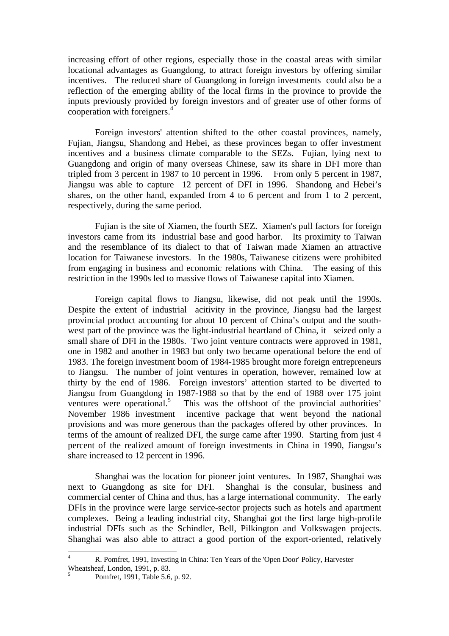increasing effort of other regions, especially those in the coastal areas with similar locational advantages as Guangdong, to attract foreign investors by offering similar incentives. The reduced share of Guangdong in foreign investments could also be a reflection of the emerging ability of the local firms in the province to provide the inputs previously provided by foreign investors and of greater use of other forms of cooperation with foreigners.<sup>4</sup>

Foreign investors' attention shifted to the other coastal provinces, namely, Fujian, Jiangsu, Shandong and Hebei, as these provinces began to offer investment incentives and a business climate comparable to the SEZs. Fujian, lying next to Guangdong and origin of many overseas Chinese, saw its share in DFI more than tripled from 3 percent in 1987 to 10 percent in 1996. From only 5 percent in 1987, Jiangsu was able to capture 12 percent of DFI in 1996. Shandong and Hebei's shares, on the other hand, expanded from 4 to 6 percent and from 1 to 2 percent, respectively, during the same period.

Fujian is the site of Xiamen, the fourth SEZ. Xiamen's pull factors for foreign investors came from its industrial base and good harbor. Its proximity to Taiwan and the resemblance of its dialect to that of Taiwan made Xiamen an attractive location for Taiwanese investors. In the 1980s, Taiwanese citizens were prohibited from engaging in business and economic relations with China. The easing of this restriction in the 1990s led to massive flows of Taiwanese capital into Xiamen.

Foreign capital flows to Jiangsu, likewise, did not peak until the 1990s. Despite the extent of industrial acitivity in the province, Jiangsu had the largest provincial product accounting for about 10 percent of China's output and the southwest part of the province was the light-industrial heartland of China, it seized only a small share of DFI in the 1980s. Two joint venture contracts were approved in 1981, one in 1982 and another in 1983 but only two became operational before the end of 1983. The foreign investment boom of 1984-1985 brought more foreign entrepreneurs to Jiangsu. The number of joint ventures in operation, however, remained low at thirty by the end of 1986. Foreign investors' attention started to be diverted to Jiangsu from Guangdong in 1987-1988 so that by the end of 1988 over 175 joint ventures were operational.<sup>5</sup> This was the offshoot of the provincial authorities' November 1986 investment incentive package that went beyond the national provisions and was more generous than the packages offered by other provinces. In terms of the amount of realized DFI, the surge came after 1990. Starting from just 4 percent of the realized amount of foreign investments in China in 1990, Jiangsu's share increased to 12 percent in 1996.

Shanghai was the location for pioneer joint ventures. In 1987, Shanghai was next to Guangdong as site for DFI. Shanghai is the consular, business and commercial center of China and thus, has a large international community. The early DFIs in the province were large service-sector projects such as hotels and apartment complexes. Being a leading industrial city, Shanghai got the first large high-profile industrial DFIs such as the Schindler, Bell, Pilkington and Volkswagen projects. Shanghai was also able to attract a good portion of the export-oriented, relatively

 $\overline{4}$ <sup>4</sup> R. Pomfret, 1991, Investing in China: Ten Years of the 'Open Door' Policy, Harvester Wheatsheaf, London, 1991, p. 83. 5

Pomfret, 1991, Table 5.6, p. 92.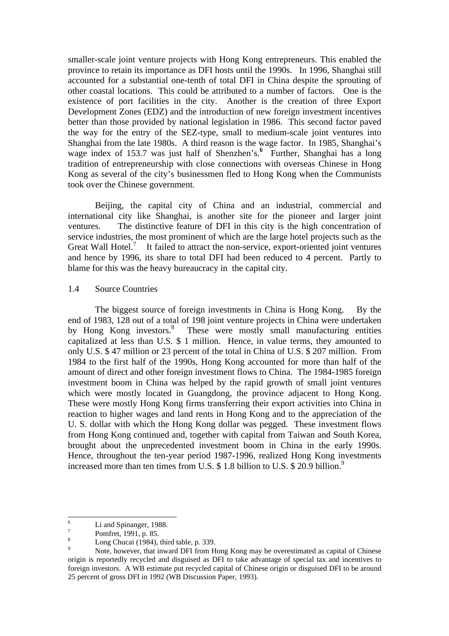smaller-scale joint venture projects with Hong Kong entrepreneurs. This enabled the province to retain its importance as DFI hosts until the 1990s. In 1996, Shanghai still accounted for a substantial one-tenth of total DFI in China despite the sprouting of other coastal locations. This could be attributed to a number of factors. One is the existence of port facilities in the city. Another is the creation of three Export Development Zones (EDZ) and the introduction of new foreign investment incentives better than those provided by national legislation in 1986. This second factor paved the way for the entry of the SEZ-type, small to medium-scale joint ventures into Shanghai from the late 1980s. A third reason is the wage factor. In 1985, Shanghai's wage index of 153.7 was just half of Shenzhen's.**<sup>6</sup>** Further, Shanghai has a long tradition of entrepreneurship with close connections with overseas Chinese in Hong Kong as several of the city's businessmen fled to Hong Kong when the Communists took over the Chinese government.

Beijing, the capital city of China and an industrial, commercial and international city like Shanghai, is another site for the pioneer and larger joint ventures. The distinctive feature of DFI in this city is the high concentration of service industries, the most prominent of which are the large hotel projects such as the Great Wall Hotel.<sup>7</sup> It failed to attract the non-service, export-oriented joint ventures and hence by 1996, its share to total DFI had been reduced to 4 percent. Partly to blame for this was the heavy bureaucracy in the capital city.

#### 1.4 Source Countries

The biggest source of foreign investments in China is Hong Kong. By the end of 1983, 128 out of a total of 198 joint venture projects in China were undertaken by Hong Kong investors.<sup>8</sup> These were mostly small manufacturing entities capitalized at less than U.S. \$ 1 million. Hence, in value terms, they amounted to only U.S. \$ 47 million or 23 percent of the total in China of U.S. \$ 207 million. From 1984 to the first half of the 1990s, Hong Kong accounted for more than half of the amount of direct and other foreign investment flows to China. The 1984-1985 foreign investment boom in China was helped by the rapid growth of small joint ventures which were mostly located in Guangdong, the province adjacent to Hong Kong. These were mostly Hong Kong firms transferring their export activities into China in reaction to higher wages and land rents in Hong Kong and to the appreciation of the U. S. dollar with which the Hong Kong dollar was pegged. These investment flows from Hong Kong continued and, together with capital from Taiwan and South Korea, brought about the unprecedented investment boom in China in the early 1990s. Hence, throughout the ten-year period 1987-1996, realized Hong Kong investments increased more than ten times from U.S.  $$ 1.8$  billion to U.S.  $$ 20.9$  billion.<sup>9</sup>

<sup>6</sup> Li and Spinanger, 1988.

<sup>7</sup> Pomfret, 1991, p. 85.

 $\frac{8}{9}$  Long Chucai (1984), third table, p. 339.

<sup>9</sup> Note, however, that inward DFI from Hong Kong may be overestimated as capital of Chinese origin is reportedly recycled and disguised as DFI to take advantage of special tax and incentives to foreign investors. A WB estimate put recycled capital of Chinese origin or disguised DFI to be around 25 percent of gross DFI in 1992 (WB Discussion Paper, 1993).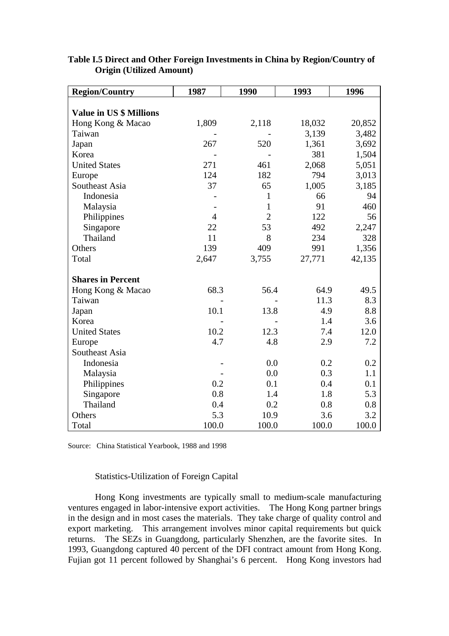| <b>Region/Country</b>          | 1987           | 1990           | 1993   | 1996   |
|--------------------------------|----------------|----------------|--------|--------|
|                                |                |                |        |        |
| <b>Value in US \$ Millions</b> |                |                |        |        |
| Hong Kong & Macao              | 1,809          | 2,118          | 18,032 | 20,852 |
| Taiwan                         |                |                | 3,139  | 3,482  |
| Japan                          | 267            | 520            | 1,361  | 3,692  |
| Korea                          |                |                | 381    | 1,504  |
| <b>United States</b>           | 271            | 461            | 2,068  | 5,051  |
| Europe                         | 124            | 182            | 794    | 3,013  |
| Southeast Asia                 | 37             | 65             | 1,005  | 3,185  |
| Indonesia                      |                | $\mathbf{1}$   | 66     | 94     |
| Malaysia                       |                | $\mathbf{1}$   | 91     | 460    |
| Philippines                    | $\overline{4}$ | $\overline{2}$ | 122    | 56     |
| Singapore                      | 22             | 53             | 492    | 2,247  |
| Thailand                       | 11             | 8              | 234    | 328    |
| Others                         | 139            | 409            | 991    | 1,356  |
| Total                          | 2,647          | 3,755          | 27,771 | 42,135 |
| <b>Shares in Percent</b>       |                |                |        |        |
| Hong Kong & Macao              | 68.3           | 56.4           | 64.9   | 49.5   |
| Taiwan                         |                |                | 11.3   | 8.3    |
| Japan                          | 10.1           | 13.8           | 4.9    | 8.8    |
| Korea                          |                |                | 1.4    | 3.6    |
| <b>United States</b>           | 10.2           | 12.3           | 7.4    | 12.0   |
| Europe                         | 4.7            | 4.8            | 2.9    | 7.2    |
| Southeast Asia                 |                |                |        |        |
| Indonesia                      |                | 0.0            | 0.2    | 0.2    |
| Malaysia                       |                | 0.0            | 0.3    | 1.1    |
| Philippines                    | 0.2            | 0.1            | 0.4    | 0.1    |
| Singapore                      | 0.8            | 1.4            | 1.8    | 5.3    |
| Thailand                       | 0.4            | 0.2            | 0.8    | 0.8    |
| Others                         | 5.3            | 10.9           | 3.6    | 3.2    |
| Total                          | 100.0          | 100.0          | 100.0  | 100.0  |

## **Table I.5 Direct and Other Foreign Investments in China by Region/Country of Origin (Utilized Amount)**

Source: China Statistical Yearbook, 1988 and 1998

## Statistics-Utilization of Foreign Capital

Hong Kong investments are typically small to medium-scale manufacturing ventures engaged in labor-intensive export activities. The Hong Kong partner brings in the design and in most cases the materials. They take charge of quality control and export marketing. This arrangement involves minor capital requirements but quick returns. The SEZs in Guangdong, particularly Shenzhen, are the favorite sites. In 1993, Guangdong captured 40 percent of the DFI contract amount from Hong Kong. Fujian got 11 percent followed by Shanghai's 6 percent. Hong Kong investors had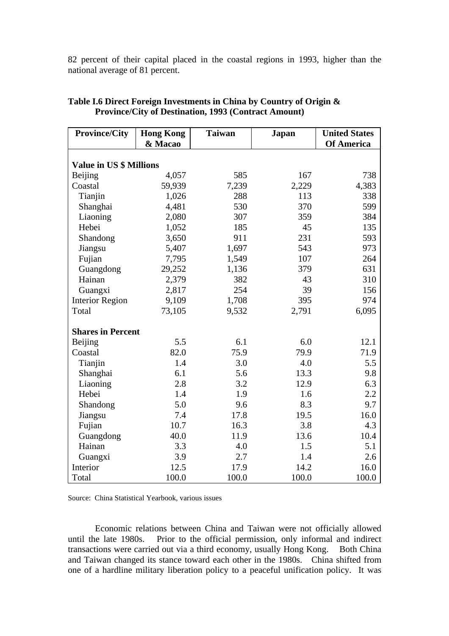82 percent of their capital placed in the coastal regions in 1993, higher than the national average of 81 percent.

| <b>Province/City</b>           | <b>Hong Kong</b><br>& Macao | <b>Taiwan</b> | Japan | <b>United States</b><br><b>Of America</b> |
|--------------------------------|-----------------------------|---------------|-------|-------------------------------------------|
|                                |                             |               |       |                                           |
| <b>Value in US \$ Millions</b> |                             |               |       |                                           |
| Beijing                        | 4,057                       | 585           | 167   | 738                                       |
| Coastal                        | 59,939                      | 7,239         | 2,229 | 4,383                                     |
| Tianjin                        | 1,026                       | 288           | 113   | 338                                       |
| Shanghai                       | 4,481                       | 530           | 370   | 599                                       |
| Liaoning                       | 2,080                       | 307           | 359   | 384                                       |
| Hebei                          | 1,052                       | 185           | 45    | 135                                       |
| Shandong                       | 3,650                       | 911           | 231   | 593                                       |
| Jiangsu                        | 5,407                       | 1,697         | 543   | 973                                       |
| Fujian                         | 7,795                       | 1,549         | 107   | 264                                       |
| Guangdong                      | 29,252                      | 1,136         | 379   | 631                                       |
| Hainan                         | 2,379                       | 382           | 43    | 310                                       |
| Guangxi                        | 2,817                       | 254           | 39    | 156                                       |
| <b>Interior Region</b>         | 9,109                       | 1,708         | 395   | 974                                       |
| Total                          | 73,105                      | 9,532         | 2,791 | 6,095                                     |
| <b>Shares in Percent</b>       |                             |               |       |                                           |
| <b>Beijing</b>                 | 5.5                         | 6.1           | 6.0   | 12.1                                      |
| Coastal                        | 82.0                        | 75.9          | 79.9  | 71.9                                      |
| Tianjin                        | 1.4                         | 3.0           | 4.0   | 5.5                                       |
| Shanghai                       | 6.1                         | 5.6           | 13.3  | 9.8                                       |
| Liaoning                       | 2.8                         | 3.2           | 12.9  | 6.3                                       |
| Hebei                          | 1.4                         | 1.9           | 1.6   | 2.2                                       |
| Shandong                       | 5.0                         | 9.6           | 8.3   | 9.7                                       |
| Jiangsu                        | 7.4                         | 17.8          | 19.5  | 16.0                                      |
| Fujian                         | 10.7                        | 16.3          | 3.8   | 4.3                                       |
| Guangdong                      | 40.0                        | 11.9          | 13.6  | 10.4                                      |
| Hainan                         | 3.3                         | 4.0           | 1.5   | 5.1                                       |
| Guangxi                        | 3.9                         | 2.7           | 1.4   | 2.6                                       |
| Interior                       | 12.5                        | 17.9          | 14.2  | 16.0                                      |
| Total                          | 100.0                       | 100.0         | 100.0 | 100.0                                     |

# **Table I.6 Direct Foreign Investments in China by Country of Origin & Province/City of Destination, 1993 (Contract Amount)**

Source: China Statistical Yearbook, various issues

Economic relations between China and Taiwan were not officially allowed until the late 1980s. Prior to the official permission, only informal and indirect transactions were carried out via a third economy, usually Hong Kong. Both China and Taiwan changed its stance toward each other in the 1980s. China shifted from one of a hardline military liberation policy to a peaceful unification policy. It was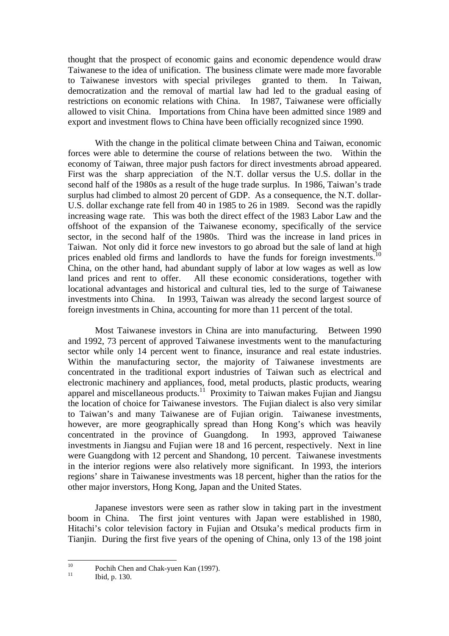thought that the prospect of economic gains and economic dependence would draw Taiwanese to the idea of unification. The business climate were made more favorable to Taiwanese investors with special privileges granted to them. In Taiwan, democratization and the removal of martial law had led to the gradual easing of restrictions on economic relations with China. In 1987, Taiwanese were officially allowed to visit China. Importations from China have been admitted since 1989 and export and investment flows to China have been officially recognized since 1990.

With the change in the political climate between China and Taiwan, economic forces were able to determine the course of relations between the two. Within the economy of Taiwan, three major push factors for direct investments abroad appeared. First was the sharp appreciation of the N.T. dollar versus the U.S. dollar in the second half of the 1980s as a result of the huge trade surplus. In 1986, Taiwan's trade surplus had climbed to almost 20 percent of GDP. As a consequence, the N.T. dollar-U.S. dollar exchange rate fell from 40 in 1985 to 26 in 1989. Second was the rapidly increasing wage rate. This was both the direct effect of the 1983 Labor Law and the offshoot of the expansion of the Taiwanese economy, specifically of the service sector, in the second half of the 1980s. Third was the increase in land prices in Taiwan. Not only did it force new investors to go abroad but the sale of land at high prices enabled old firms and landlords to have the funds for foreign investments.<sup>10</sup> China, on the other hand, had abundant supply of labor at low wages as well as low land prices and rent to offer. All these economic considerations, together with locational advantages and historical and cultural ties, led to the surge of Taiwanese investments into China. In 1993, Taiwan was already the second largest source of foreign investments in China, accounting for more than 11 percent of the total.

Most Taiwanese investors in China are into manufacturing. Between 1990 and 1992, 73 percent of approved Taiwanese investments went to the manufacturing sector while only 14 percent went to finance, insurance and real estate industries. Within the manufacturing sector, the majority of Taiwanese investments are concentrated in the traditional export industries of Taiwan such as electrical and electronic machinery and appliances, food, metal products, plastic products, wearing apparel and miscellaneous products.<sup>11</sup> Proximity to Taiwan makes Fujian and Jiangsu the location of choice for Taiwanese investors. The Fujian dialect is also very similar to Taiwan's and many Taiwanese are of Fujian origin. Taiwanese investments, however, are more geographically spread than Hong Kong's which was heavily concentrated in the province of Guangdong. In 1993, approved Taiwanese investments in Jiangsu and Fujian were 18 and 16 percent, respectively. Next in line were Guangdong with 12 percent and Shandong, 10 percent. Taiwanese investments in the interior regions were also relatively more significant. In 1993, the interiors regions' share in Taiwanese investments was 18 percent, higher than the ratios for the other major inverstors, Hong Kong, Japan and the United States.

Japanese investors were seen as rather slow in taking part in the investment boom in China. The first joint ventures with Japan were established in 1980, Hitachi's color television factory in Fujian and Otsuka's medical products firm in Tianjin. During the first five years of the opening of China, only 13 of the 198 joint

 $10\,$  $^{10}$  Pochih Chen and Chak-yuen Kan (1997).

Ibid, p. 130.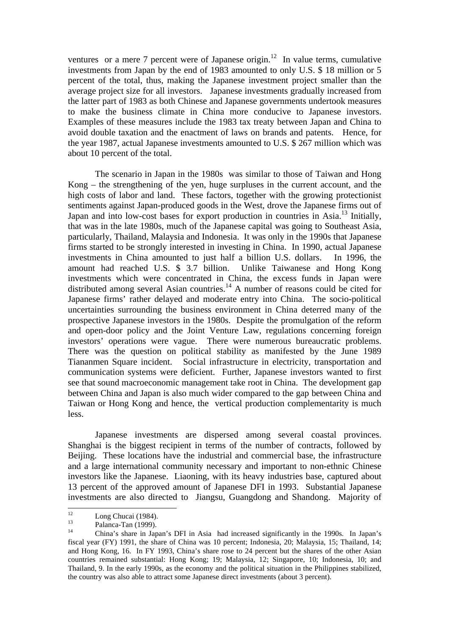ventures or a mere 7 percent were of Japanese origin.<sup>12</sup> In value terms, cumulative investments from Japan by the end of 1983 amounted to only U.S. \$ 18 million or 5 percent of the total, thus, making the Japanese investment project smaller than the average project size for all investors. Japanese investments gradually increased from the latter part of 1983 as both Chinese and Japanese governments undertook measures to make the business climate in China more conducive to Japanese investors. Examples of these measures include the 1983 tax treaty between Japan and China to avoid double taxation and the enactment of laws on brands and patents. Hence, for the year 1987, actual Japanese investments amounted to U.S. \$ 267 million which was about 10 percent of the total.

The scenario in Japan in the 1980s was similar to those of Taiwan and Hong Kong – the strengthening of the yen, huge surpluses in the current account, and the high costs of labor and land. These factors, together with the growing protectionist sentiments against Japan-produced goods in the West, drove the Japanese firms out of Japan and into low-cost bases for export production in countries in Asia.<sup>13</sup> Initially, that was in the late 1980s, much of the Japanese capital was going to Southeast Asia, particularly, Thailand, Malaysia and Indonesia. It was only in the 1990s that Japanese firms started to be strongly interested in investing in China. In 1990, actual Japanese investments in China amounted to just half a billion U.S. dollars. In 1996, the amount had reached U.S. \$ 3.7 billion. Unlike Taiwanese and Hong Kong investments which were concentrated in China, the excess funds in Japan were distributed among several Asian countries.<sup>14</sup> A number of reasons could be cited for Japanese firms' rather delayed and moderate entry into China. The socio-political uncertainties surrounding the business environment in China deterred many of the prospective Japanese investors in the 1980s. Despite the promulgation of the reform and open-door policy and the Joint Venture Law, regulations concerning foreign investors' operations were vague. There were numerous bureaucratic problems. There was the question on political stability as manifested by the June 1989 Tiananmen Square incident. Social infrastructure in electricity, transportation and communication systems were deficient. Further, Japanese investors wanted to first see that sound macroeconomic management take root in China. The development gap between China and Japan is also much wider compared to the gap between China and Taiwan or Hong Kong and hence, the vertical production complementarity is much less.

Japanese investments are dispersed among several coastal provinces. Shanghai is the biggest recipient in terms of the number of contracts, followed by Beijing. These locations have the industrial and commercial base, the infrastructure and a large international community necessary and important to non-ethnic Chinese investors like the Japanese. Liaoning, with its heavy industries base, captured about 13 percent of the approved amount of Japanese DFI in 1993. Substantial Japanese investments are also directed to Jiangsu, Guangdong and Shandong. Majority of

 $12$  $\frac{12}{13}$  Long Chucai (1984).

 $\frac{13}{14}$  Palanca-Tan (1999).

<sup>14</sup> China's share in Japan's DFI in Asia had increased significantly in the 1990s. In Japan's fiscal year (FY) 1991, the share of China was 10 percent; Indonesia, 20; Malaysia, 15; Thailand, 14; and Hong Kong, 16. In FY 1993, China's share rose to 24 percent but the shares of the other Asian countries remained substantial: Hong Kong; 19; Malaysia, 12; Singapore, 10; Indonesia, 10; and Thailand, 9. In the early 1990s, as the economy and the political situation in the Philippines stabilized, the country was also able to attract some Japanese direct investments (about 3 percent).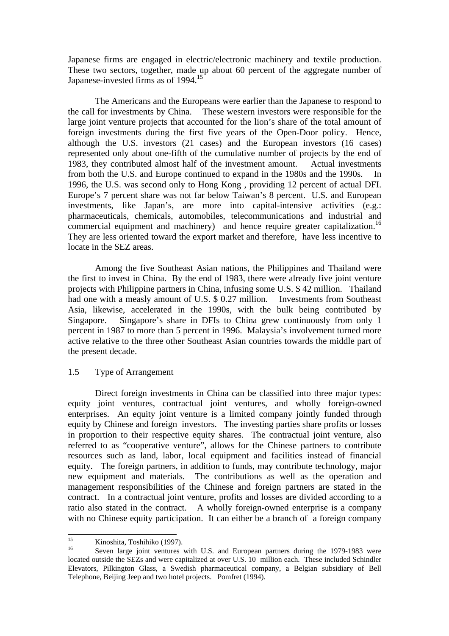Japanese firms are engaged in electric/electronic machinery and textile production. These two sectors, together, made up about 60 percent of the aggregate number of Japanese-invested firms as of 1994.<sup>15</sup>

The Americans and the Europeans were earlier than the Japanese to respond to the call for investments by China. These western investors were responsible for the large joint venture projects that accounted for the lion's share of the total amount of foreign investments during the first five years of the Open-Door policy. Hence, although the U.S. investors (21 cases) and the European investors (16 cases) represented only about one-fifth of the cumulative number of projects by the end of 1983, they contributed almost half of the investment amount. Actual investments from both the U.S. and Europe continued to expand in the 1980s and the 1990s. In 1996, the U.S. was second only to Hong Kong , providing 12 percent of actual DFI. Europe's 7 percent share was not far below Taiwan's 8 percent. U.S. and European investments, like Japan's, are more into capital-intensive activities (e.g.: pharmaceuticals, chemicals, automobiles, telecommunications and industrial and commercial equipment and machinery) and hence require greater capitalization.<sup>16</sup> They are less oriented toward the export market and therefore, have less incentive to locate in the SEZ areas.

Among the five Southeast Asian nations, the Philippines and Thailand were the first to invest in China. By the end of 1983, there were already five joint venture projects with Philippine partners in China, infusing some U.S. \$ 42 million. Thailand had one with a measly amount of U.S. \$ 0.27 million. Investments from Southeast Asia, likewise, accelerated in the 1990s, with the bulk being contributed by Singapore. Singapore's share in DFIs to China grew continuously from only 1 percent in 1987 to more than 5 percent in 1996. Malaysia's involvement turned more active relative to the three other Southeast Asian countries towards the middle part of the present decade.

1.5 Type of Arrangement

Direct foreign investments in China can be classified into three major types: equity joint ventures, contractual joint ventures, and wholly foreign-owned enterprises. An equity joint venture is a limited company jointly funded through equity by Chinese and foreign investors. The investing parties share profits or losses in proportion to their respective equity shares. The contractual joint venture, also referred to as "cooperative venture", allows for the Chinese partners to contribute resources such as land, labor, local equipment and facilities instead of financial equity. The foreign partners, in addition to funds, may contribute technology, major new equipment and materials. The contributions as well as the operation and management responsibilities of the Chinese and foreign partners are stated in the contract. In a contractual joint venture, profits and losses are divided according to a ratio also stated in the contract. A wholly foreign-owned enterprise is a company with no Chinese equity participation. It can either be a branch of a foreign company

 $15$ <sup>15</sup> Kinoshita, Toshihiko (1997).

Seven large joint ventures with U.S. and European partners during the 1979-1983 were located outside the SEZs and were capitalized at over U.S. 10 million each. These included Schindler Elevators, Pilkington Glass, a Swedish pharmaceutical company, a Belgian subsidiary of Bell Telephone, Beijing Jeep and two hotel projects. Pomfret (1994).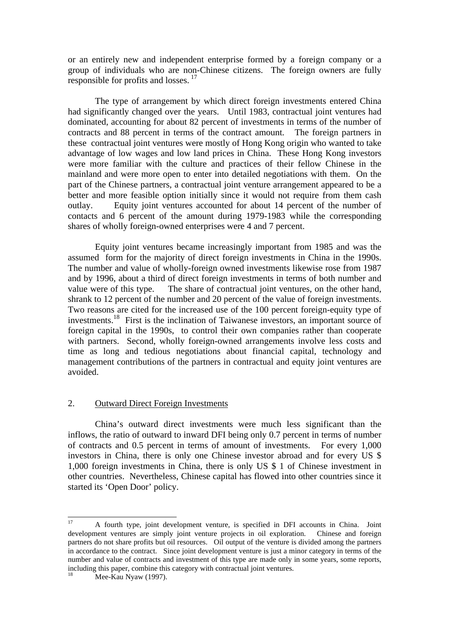or an entirely new and independent enterprise formed by a foreign company or a group of individuals who are non-Chinese citizens. The foreign owners are fully responsible for profits and losses. <sup>17</sup>

The type of arrangement by which direct foreign investments entered China had significantly changed over the years. Until 1983, contractual joint ventures had dominated, accounting for about 82 percent of investments in terms of the number of contracts and 88 percent in terms of the contract amount. The foreign partners in these contractual joint ventures were mostly of Hong Kong origin who wanted to take advantage of low wages and low land prices in China. These Hong Kong investors were more familiar with the culture and practices of their fellow Chinese in the mainland and were more open to enter into detailed negotiations with them. On the part of the Chinese partners, a contractual joint venture arrangement appeared to be a better and more feasible option initially since it would not require from them cash outlay. Equity joint ventures accounted for about 14 percent of the number of contacts and 6 percent of the amount during 1979-1983 while the corresponding shares of wholly foreign-owned enterprises were 4 and 7 percent.

Equity joint ventures became increasingly important from 1985 and was the assumed form for the majority of direct foreign investments in China in the 1990s. The number and value of wholly-foreign owned investments likewise rose from 1987 and by 1996, about a third of direct foreign investments in terms of both number and value were of this type. The share of contractual joint ventures, on the other hand, shrank to 12 percent of the number and 20 percent of the value of foreign investments. Two reasons are cited for the increased use of the 100 percent foreign-equity type of investments.<sup>18</sup> First is the inclination of Taiwanese investors, an important source of foreign capital in the 1990s, to control their own companies rather than cooperate with partners. Second, wholly foreign-owned arrangements involve less costs and time as long and tedious negotiations about financial capital, technology and management contributions of the partners in contractual and equity joint ventures are avoided.

## 2. Outward Direct Foreign Investments

China's outward direct investments were much less significant than the inflows, the ratio of outward to inward DFI being only 0.7 percent in terms of number of contracts and 0.5 percent in terms of amount of investments. For every 1,000 investors in China, there is only one Chinese investor abroad and for every US \$ 1,000 foreign investments in China, there is only US \$ 1 of Chinese investment in other countries. Nevertheless, Chinese capital has flowed into other countries since it started its 'Open Door' policy.

 $\overline{a}$ 

<sup>17</sup> A fourth type, joint development venture, is specified in DFI accounts in China. Joint development ventures are simply joint venture projects in oil exploration. Chinese and foreign partners do not share profits but oil resources. Oil output of the venture is divided among the partners in accordance to the contract. Since joint development venture is just a minor category in terms of the number and value of contracts and investment of this type are made only in some years, some reports, including this paper, combine this category with contractual joint ventures.

Mee-Kau Nyaw (1997).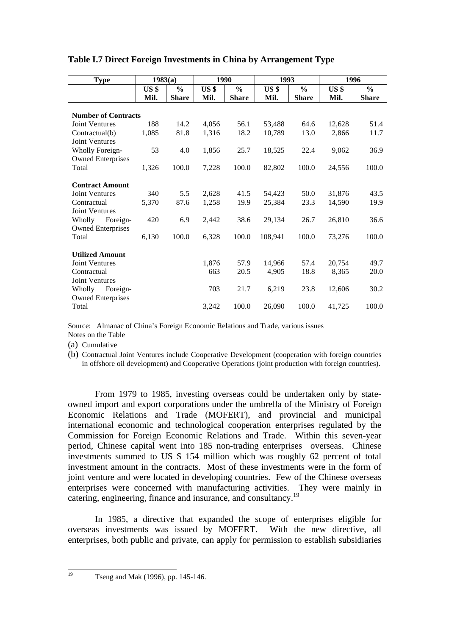| <b>Type</b>                |                 | 1983(a)       | 1990            |               | 1993            |               | 1996            |               |
|----------------------------|-----------------|---------------|-----------------|---------------|-----------------|---------------|-----------------|---------------|
|                            | US <sub>3</sub> | $\frac{6}{9}$ | US <sub>3</sub> | $\frac{6}{9}$ | US <sub>s</sub> | $\frac{6}{6}$ | US <sub>3</sub> | $\frac{0}{0}$ |
|                            | Mil.            | <b>Share</b>  | Mil.            | <b>Share</b>  | Mil.            | <b>Share</b>  | Mil.            | <b>Share</b>  |
|                            |                 |               |                 |               |                 |               |                 |               |
| <b>Number of Contracts</b> |                 |               |                 |               |                 |               |                 |               |
| <b>Joint Ventures</b>      | 188             | 14.2          | 4,056           | 56.1          | 53,488          | 64.6          | 12,628          | 51.4          |
| Contractual(b)             | 1,085           | 81.8          | 1,316           | 18.2          | 10,789          | 13.0          | 2,866           | 11.7          |
| <b>Joint Ventures</b>      |                 |               |                 |               |                 |               |                 |               |
| <b>Wholly Foreign-</b>     | 53              | 4.0           | 1,856           | 25.7          | 18,525          | 22.4          | 9,062           | 36.9          |
| <b>Owned Enterprises</b>   |                 |               |                 |               |                 |               |                 |               |
| Total                      | 1,326           | 100.0         | 7,228           | 100.0         | 82,802          | 100.0         | 24,556          | 100.0         |
|                            |                 |               |                 |               |                 |               |                 |               |
| <b>Contract Amount</b>     |                 |               |                 |               |                 |               |                 |               |
| <b>Joint Ventures</b>      | 340             | 5.5           | 2,628           | 41.5          | 54,423          | 50.0          | 31.876          | 43.5          |
| Contractual                | 5,370           | 87.6          | 1,258           | 19.9          | 25,384          | 23.3          | 14,590          | 19.9          |
| <b>Joint Ventures</b>      |                 |               |                 |               |                 |               |                 |               |
| Wholly<br>Foreign-         | 420             | 6.9           | 2,442           | 38.6          | 29,134          | 26.7          | 26,810          | 36.6          |
| <b>Owned Enterprises</b>   |                 |               |                 |               |                 |               |                 |               |
| Total                      | 6,130           | 100.0         | 6,328           | 100.0         | 108,941         | 100.0         | 73,276          | 100.0         |
|                            |                 |               |                 |               |                 |               |                 |               |
| <b>Utilized Amount</b>     |                 |               |                 |               |                 |               |                 |               |
| <b>Joint Ventures</b>      |                 |               | 1,876           | 57.9          | 14,966          | 57.4          | 20,754          | 49.7          |
| Contractual                |                 |               | 663             | 20.5          | 4,905           | 18.8          | 8,365           | 20.0          |
| <b>Joint Ventures</b>      |                 |               |                 |               |                 |               |                 |               |
| Wholly<br>Foreign-         |                 |               | 703             | 21.7          | 6,219           | 23.8          | 12,606          | 30.2          |
| <b>Owned Enterprises</b>   |                 |               |                 |               |                 |               |                 |               |
| Total                      |                 |               | 3,242           | 100.0         | 26,090          | 100.0         | 41,725          | 100.0         |

# **Table I.7 Direct Foreign Investments in China by Arrangement Type**

Source: Almanac of China's Foreign Economic Relations and Trade, various issues Notes on the Table

(a) Cumulative

(b) Contractual Joint Ventures include Cooperative Development (cooperation with foreign countries in offshore oil development) and Cooperative Operations (joint production with foreign countries).

From 1979 to 1985, investing overseas could be undertaken only by stateowned import and export corporations under the umbrella of the Ministry of Foreign Economic Relations and Trade (MOFERT), and provincial and municipal international economic and technological cooperation enterprises regulated by the Commission for Foreign Economic Relations and Trade. Within this seven-year period, Chinese capital went into 185 non-trading enterprises overseas. Chinese investments summed to US \$ 154 million which was roughly 62 percent of total investment amount in the contracts. Most of these investments were in the form of joint venture and were located in developing countries. Few of the Chinese overseas enterprises were concerned with manufacturing activities. They were mainly in catering, engineering, finance and insurance, and consultancy.<sup>19</sup>

In 1985, a directive that expanded the scope of enterprises eligible for overseas investments was issued by MOFERT. With the new directive, all enterprises, both public and private, can apply for permission to establish subsidiaries

 $19$ 

Tseng and Mak (1996), pp. 145-146.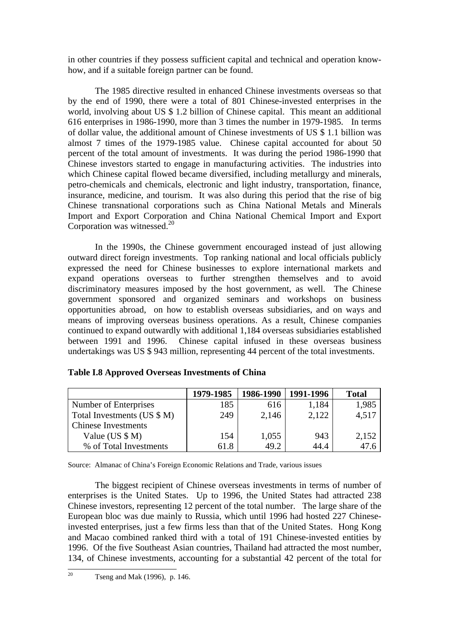in other countries if they possess sufficient capital and technical and operation knowhow, and if a suitable foreign partner can be found.

The 1985 directive resulted in enhanced Chinese investments overseas so that by the end of 1990, there were a total of 801 Chinese-invested enterprises in the world, involving about US \$ 1.2 billion of Chinese capital. This meant an additional 616 enterprises in 1986-1990, more than 3 times the number in 1979-1985. In terms of dollar value, the additional amount of Chinese investments of US \$ 1.1 billion was almost 7 times of the 1979-1985 value. Chinese capital accounted for about 50 percent of the total amount of investments. It was during the period 1986-1990 that Chinese investors started to engage in manufacturing activities. The industries into which Chinese capital flowed became diversified, including metallurgy and minerals, petro-chemicals and chemicals, electronic and light industry, transportation, finance, insurance, medicine, and tourism. It was also during this period that the rise of big Chinese transnational corporations such as China National Metals and Minerals Import and Export Corporation and China National Chemical Import and Export Corporation was witnessed. $20$ 

In the 1990s, the Chinese government encouraged instead of just allowing outward direct foreign investments. Top ranking national and local officials publicly expressed the need for Chinese businesses to explore international markets and expand operations overseas to further strengthen themselves and to avoid discriminatory measures imposed by the host government, as well. The Chinese government sponsored and organized seminars and workshops on business opportunities abroad, on how to establish overseas subsidiaries, and on ways and means of improving overseas business operations. As a result, Chinese companies continued to expand outwardly with additional 1,184 overseas subsidiaries established between 1991 and 1996. Chinese capital infused in these overseas business undertakings was US \$ 943 million, representing 44 percent of the total investments.

|                             | 1979-1985 | 1986-1990 | 1991-1996 | <b>Total</b> |
|-----------------------------|-----------|-----------|-----------|--------------|
| Number of Enterprises       | 185       | 616       | 1,184     | 1,985        |
| Total Investments (US \$ M) | 249       | 2,146     | 2,122     | 4,517        |
| <b>Chinese Investments</b>  |           |           |           |              |
| Value (US $$M)$ )           | 154       | 1,055     | 943       | 2,152        |
| % of Total Investments      | 61.8      | 49.2      | 44.4      | 47.6         |

# **Table I.8 Approved Overseas Investments of China**

Source: Almanac of China's Foreign Economic Relations and Trade, various issues

The biggest recipient of Chinese overseas investments in terms of number of enterprises is the United States. Up to 1996, the United States had attracted 238 Chinese investors, representing 12 percent of the total number. The large share of the European bloc was due mainly to Russia, which until 1996 had hosted 227 Chineseinvested enterprises, just a few firms less than that of the United States. Hong Kong and Macao combined ranked third with a total of 191 Chinese-invested entities by 1996. Of the five Southeast Asian countries, Thailand had attracted the most number, 134, of Chinese investments, accounting for a substantial 42 percent of the total for

 $20<sub>0</sub>$ Tseng and Mak (1996), p. 146.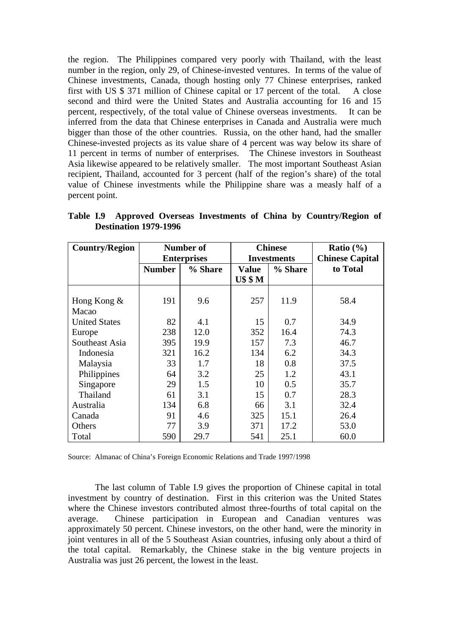the region. The Philippines compared very poorly with Thailand, with the least number in the region, only 29, of Chinese-invested ventures. In terms of the value of Chinese investments, Canada, though hosting only 77 Chinese enterprises, ranked first with US \$ 371 million of Chinese capital or 17 percent of the total. A close second and third were the United States and Australia accounting for 16 and 15 percent, respectively, of the total value of Chinese overseas investments. It can be inferred from the data that Chinese enterprises in Canada and Australia were much bigger than those of the other countries. Russia, on the other hand, had the smaller Chinese-invested projects as its value share of 4 percent was way below its share of 11 percent in terms of number of enterprises. The Chinese investors in Southeast Asia likewise appeared to be relatively smaller. The most important Southeast Asian recipient, Thailand, accounted for 3 percent (half of the region's share) of the total value of Chinese investments while the Philippine share was a measly half of a percent point.

| <b>Country/Region</b> |               | Number of          |              | <b>Chinese</b>     | Ratio $(\% )$          |
|-----------------------|---------------|--------------------|--------------|--------------------|------------------------|
|                       |               | <b>Enterprises</b> |              | <b>Investments</b> | <b>Chinese Capital</b> |
|                       | <b>Number</b> | % Share            | <b>Value</b> | % Share            | to Total               |
|                       |               |                    | US SM        |                    |                        |
|                       |               |                    |              |                    |                        |
| Hong Kong $\&$        | 191           | 9.6                | 257          | 11.9               | 58.4                   |
| Macao                 |               |                    |              |                    |                        |
| <b>United States</b>  | 82            | 4.1                | 15           | 0.7                | 34.9                   |
| Europe                | 238           | 12.0               | 352          | 16.4               | 74.3                   |
| Southeast Asia        | 395           | 19.9               | 157          | 7.3                | 46.7                   |
| Indonesia             | 321           | 16.2               | 134          | 6.2                | 34.3                   |
| Malaysia              | 33            | 1.7                | 18           | 0.8                | 37.5                   |
| Philippines           | 64            | 3.2                | 25           | 1.2                | 43.1                   |
| Singapore             | 29            | 1.5                | 10           | 0.5                | 35.7                   |
| Thailand              | 61            | 3.1                | 15           | 0.7                | 28.3                   |
| Australia             | 134           | 6.8                | 66           | 3.1                | 32.4                   |
| Canada                | 91            | 4.6                | 325          | 15.1               | 26.4                   |
| Others                | 77            | 3.9                | 371          | 17.2               | 53.0                   |
| Total                 | 590           | 29.7               | 541          | 25.1               | 60.0                   |

**Table I.9 Approved Overseas Investments of China by Country/Region of Destination 1979-1996**

Source: Almanac of China's Foreign Economic Relations and Trade 1997/1998

The last column of Table I.9 gives the proportion of Chinese capital in total investment by country of destination. First in this criterion was the United States where the Chinese investors contributed almost three-fourths of total capital on the average. Chinese participation in European and Canadian ventures was approximately 50 percent. Chinese investors, on the other hand, were the minority in joint ventures in all of the 5 Southeast Asian countries, infusing only about a third of the total capital. Remarkably, the Chinese stake in the big venture projects in Australia was just 26 percent, the lowest in the least.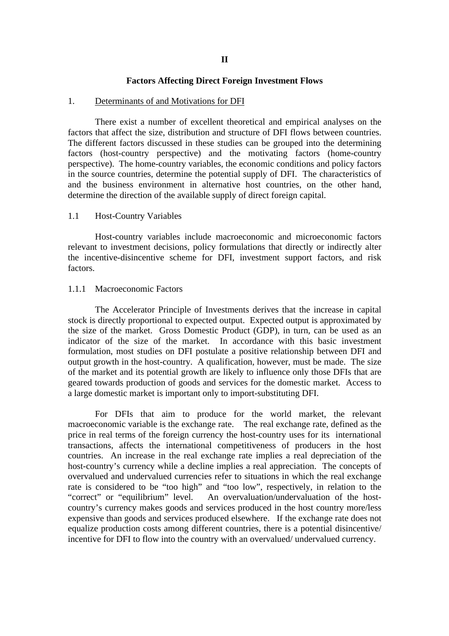#### **Factors Affecting Direct Foreign Investment Flows**

#### 1. Determinants of and Motivations for DFI

There exist a number of excellent theoretical and empirical analyses on the factors that affect the size, distribution and structure of DFI flows between countries. The different factors discussed in these studies can be grouped into the determining factors (host-country perspective) and the motivating factors (home-country perspective). The home-country variables, the economic conditions and policy factors in the source countries, determine the potential supply of DFI. The characteristics of and the business environment in alternative host countries, on the other hand, determine the direction of the available supply of direct foreign capital.

#### 1.1 Host-Country Variables

Host-country variables include macroeconomic and microeconomic factors relevant to investment decisions, policy formulations that directly or indirectly alter the incentive-disincentive scheme for DFI, investment support factors, and risk factors.

#### 1.1.1 Macroeconomic Factors

The Accelerator Principle of Investments derives that the increase in capital stock is directly proportional to expected output. Expected output is approximated by the size of the market. Gross Domestic Product (GDP), in turn, can be used as an indicator of the size of the market. In accordance with this basic investment formulation, most studies on DFI postulate a positive relationship between DFI and output growth in the host-country. A qualification, however, must be made. The size of the market and its potential growth are likely to influence only those DFIs that are geared towards production of goods and services for the domestic market. Access to a large domestic market is important only to import-substituting DFI.

For DFIs that aim to produce for the world market, the relevant macroeconomic variable is the exchange rate. The real exchange rate, defined as the price in real terms of the foreign currency the host-country uses for its international transactions, affects the international competitiveness of producers in the host countries. An increase in the real exchange rate implies a real depreciation of the host-country's currency while a decline implies a real appreciation. The concepts of overvalued and undervalued currencies refer to situations in which the real exchange rate is considered to be "too high" and "too low", respectively, in relation to the "correct" or "equilibrium" level. An overvaluation/undervaluation of the hostcountry's currency makes goods and services produced in the host country more/less expensive than goods and services produced elsewhere. If the exchange rate does not equalize production costs among different countries, there is a potential disincentive/ incentive for DFI to flow into the country with an overvalued/ undervalued currency.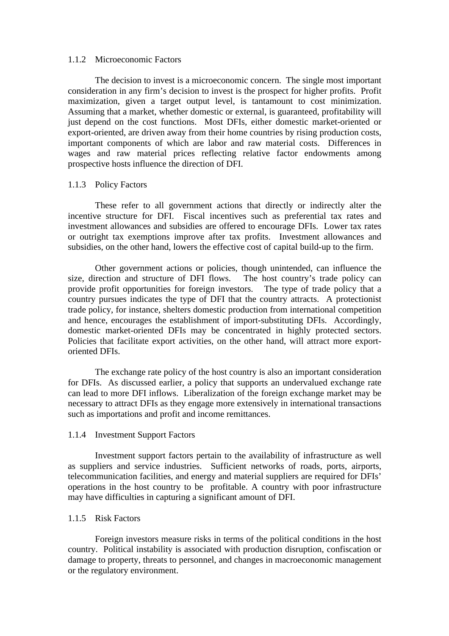#### 1.1.2 Microeconomic Factors

The decision to invest is a microeconomic concern. The single most important consideration in any firm's decision to invest is the prospect for higher profits. Profit maximization, given a target output level, is tantamount to cost minimization. Assuming that a market, whether domestic or external, is guaranteed, profitability will just depend on the cost functions. Most DFIs, either domestic market-oriented or export-oriented, are driven away from their home countries by rising production costs, important components of which are labor and raw material costs. Differences in wages and raw material prices reflecting relative factor endowments among prospective hosts influence the direction of DFI.

#### 1.1.3 Policy Factors

These refer to all government actions that directly or indirectly alter the incentive structure for DFI. Fiscal incentives such as preferential tax rates and investment allowances and subsidies are offered to encourage DFIs. Lower tax rates or outright tax exemptions improve after tax profits. Investment allowances and subsidies, on the other hand, lowers the effective cost of capital build-up to the firm.

Other government actions or policies, though unintended, can influence the size, direction and structure of DFI flows. The host country's trade policy can provide profit opportunities for foreign investors. The type of trade policy that a country pursues indicates the type of DFI that the country attracts. A protectionist trade policy, for instance, shelters domestic production from international competition and hence, encourages the establishment of import-substituting DFIs. Accordingly, domestic market-oriented DFIs may be concentrated in highly protected sectors. Policies that facilitate export activities, on the other hand, will attract more exportoriented DFIs.

The exchange rate policy of the host country is also an important consideration for DFIs. As discussed earlier, a policy that supports an undervalued exchange rate can lead to more DFI inflows. Liberalization of the foreign exchange market may be necessary to attract DFIs as they engage more extensively in international transactions such as importations and profit and income remittances.

#### 1.1.4 Investment Support Factors

Investment support factors pertain to the availability of infrastructure as well as suppliers and service industries. Sufficient networks of roads, ports, airports, telecommunication facilities, and energy and material suppliers are required for DFIs' operations in the host country to be profitable. A country with poor infrastructure may have difficulties in capturing a significant amount of DFI.

## 1.1.5 Risk Factors

Foreign investors measure risks in terms of the political conditions in the host country. Political instability is associated with production disruption, confiscation or damage to property, threats to personnel, and changes in macroeconomic management or the regulatory environment.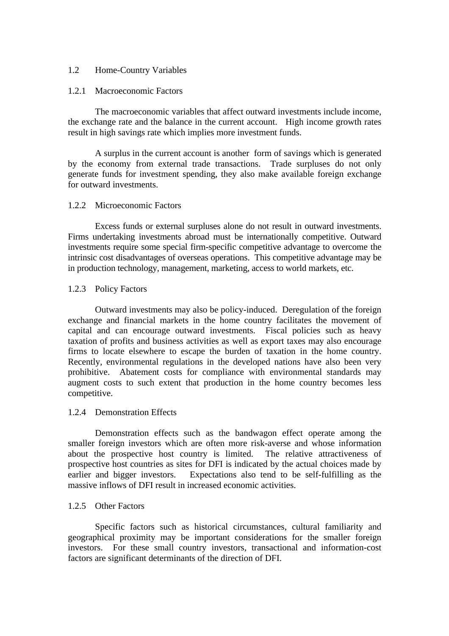## 1.2 Home-Country Variables

## 1.2.1 Macroeconomic Factors

The macroeconomic variables that affect outward investments include income, the exchange rate and the balance in the current account. High income growth rates result in high savings rate which implies more investment funds.

A surplus in the current account is another form of savings which is generated by the economy from external trade transactions. Trade surpluses do not only generate funds for investment spending, they also make available foreign exchange for outward investments.

## 1.2.2 Microeconomic Factors

Excess funds or external surpluses alone do not result in outward investments. Firms undertaking investments abroad must be internationally competitive. Outward investments require some special firm-specific competitive advantage to overcome the intrinsic cost disadvantages of overseas operations. This competitive advantage may be in production technology, management, marketing, access to world markets, etc.

#### 1.2.3 Policy Factors

Outward investments may also be policy-induced. Deregulation of the foreign exchange and financial markets in the home country facilitates the movement of capital and can encourage outward investments. Fiscal policies such as heavy taxation of profits and business activities as well as export taxes may also encourage firms to locate elsewhere to escape the burden of taxation in the home country. Recently, environmental regulations in the developed nations have also been very prohibitive. Abatement costs for compliance with environmental standards may augment costs to such extent that production in the home country becomes less competitive.

### 1.2.4 Demonstration Effects

Demonstration effects such as the bandwagon effect operate among the smaller foreign investors which are often more risk-averse and whose information about the prospective host country is limited. The relative attractiveness of prospective host countries as sites for DFI is indicated by the actual choices made by earlier and bigger investors. Expectations also tend to be self-fulfilling as the massive inflows of DFI result in increased economic activities.

# 1.2.5 Other Factors

Specific factors such as historical circumstances, cultural familiarity and geographical proximity may be important considerations for the smaller foreign investors. For these small country investors, transactional and information-cost factors are significant determinants of the direction of DFI.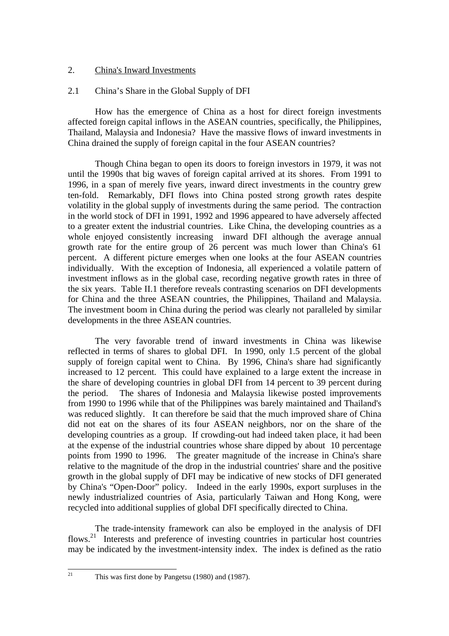# 2. China's Inward Investments

# 2.1 China's Share in the Global Supply of DFI

How has the emergence of China as a host for direct foreign investments affected foreign capital inflows in the ASEAN countries, specifically, the Philippines, Thailand, Malaysia and Indonesia? Have the massive flows of inward investments in China drained the supply of foreign capital in the four ASEAN countries?

Though China began to open its doors to foreign investors in 1979, it was not until the 1990s that big waves of foreign capital arrived at its shores. From 1991 to 1996, in a span of merely five years, inward direct investments in the country grew ten-fold. Remarkably, DFI flows into China posted strong growth rates despite volatility in the global supply of investments during the same period. The contraction in the world stock of DFI in 1991, 1992 and 1996 appeared to have adversely affected to a greater extent the industrial countries. Like China, the developing countries as a whole enjoyed consistently increasing inward DFI although the average annual growth rate for the entire group of 26 percent was much lower than China's 61 percent. A different picture emerges when one looks at the four ASEAN countries individually. With the exception of Indonesia, all experienced a volatile pattern of investment inflows as in the global case, recording negative growth rates in three of the six years. Table II.1 therefore reveals contrasting scenarios on DFI developments for China and the three ASEAN countries, the Philippines, Thailand and Malaysia. The investment boom in China during the period was clearly not paralleled by similar developments in the three ASEAN countries.

The very favorable trend of inward investments in China was likewise reflected in terms of shares to global DFI. In 1990, only 1.5 percent of the global supply of foreign capital went to China. By 1996, China's share had significantly increased to 12 percent. This could have explained to a large extent the increase in the share of developing countries in global DFI from 14 percent to 39 percent during the period. The shares of Indonesia and Malaysia likewise posted improvements from 1990 to 1996 while that of the Philippines was barely maintained and Thailand's was reduced slightly. It can therefore be said that the much improved share of China did not eat on the shares of its four ASEAN neighbors, nor on the share of the developing countries as a group. If crowding-out had indeed taken place, it had been at the expense of the industrial countries whose share dipped by about 10 percentage points from 1990 to 1996. The greater magnitude of the increase in China's share relative to the magnitude of the drop in the industrial countries' share and the positive growth in the global supply of DFI may be indicative of new stocks of DFI generated by China's "Open-Door" policy. Indeed in the early 1990s, export surpluses in the newly industrialized countries of Asia, particularly Taiwan and Hong Kong, were recycled into additional supplies of global DFI specifically directed to China.

The trade-intensity framework can also be employed in the analysis of DFI flows.<sup>21</sup> Interests and preference of investing countries in particular host countries may be indicated by the investment-intensity index. The index is defined as the ratio

This was first done by Pangetsu (1980) and (1987).

 $\overline{21}$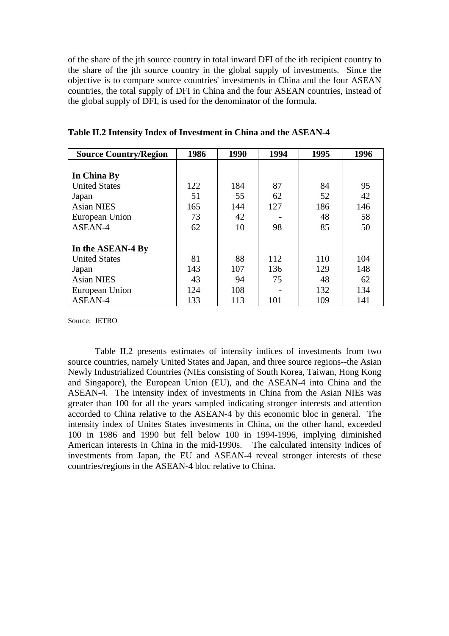of the share of the jth source country in total inward DFI of the ith recipient country to the share of the ith source country in the global supply of investments. Since the objective is to compare source countries' investments in China and the four ASEAN countries, the total supply of DFI in China and the four ASEAN countries, instead of the global supply of DFI, is used for the denominator of the formula.

| <b>Source Country/Region</b> | 1986 | 1990 | 1994 | 1995 | 1996 |
|------------------------------|------|------|------|------|------|
|                              |      |      |      |      |      |
| In China By                  |      |      |      |      |      |
| <b>United States</b>         | 122  | 184  | 87   | 84   | 95   |
| Japan                        | 51   | 55   | 62   | 52   | 42   |
| <b>Asian NIES</b>            | 165  | 144  | 127  | 186  | 146  |
| European Union               | 73   | 42   |      | 48   | 58   |
| ASEAN-4                      | 62   | 10   | 98   | 85   | 50   |
| In the ASEAN-4 By            |      |      |      |      |      |
| <b>United States</b>         | 81   | 88   | 112  | 110  | 104  |
| Japan                        | 143  | 107  | 136  | 129  | 148  |
| <b>Asian NIES</b>            | 43   | 94   | 75   | 48   | 62   |
| European Union               | 124  | 108  |      | 132  | 134  |
| ASEAN-4                      | 133  | 113  | 101  | 109  | 141  |

**Table II.2 Intensity Index of Investment in China and the ASEAN-4**

Source: JETRO

Table II.2 presents estimates of intensity indices of investments from two source countries, namely United States and Japan, and three source regions--the Asian Newly Industrialized Countries (NIEs consisting of South Korea, Taiwan, Hong Kong and Singapore), the European Union (EU), and the ASEAN-4 into China and the ASEAN-4. The intensity index of investments in China from the Asian NIEs was greater than 100 for all the years sampled indicating stronger interests and attention accorded to China relative to the ASEAN-4 by this economic bloc in general. The intensity index of Unites States investments in China, on the other hand, exceeded 100 in 1986 and 1990 but fell below 100 in 1994-1996, implying diminished American interests in China in the mid-1990s. The calculated intensity indices of investments from Japan, the EU and ASEAN-4 reveal stronger interests of these countries/regions in the ASEAN-4 bloc relative to China.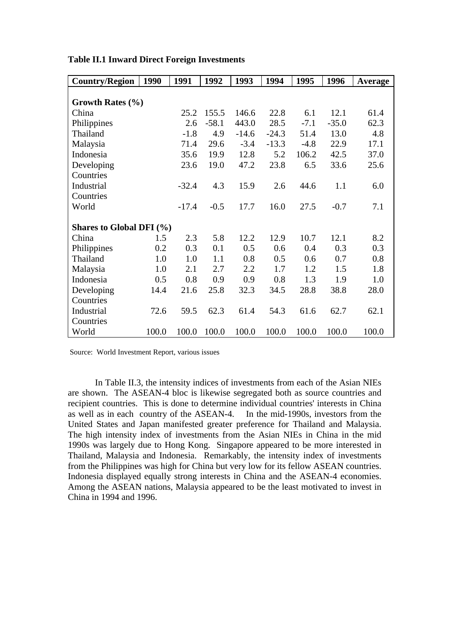| <b>Country/Region</b>        | 1990  | 1991    | 1992    | 1993    | 1994    | 1995   | 1996    | <b>Average</b> |
|------------------------------|-------|---------|---------|---------|---------|--------|---------|----------------|
|                              |       |         |         |         |         |        |         |                |
| Growth Rates $(\% )$         |       |         |         |         |         |        |         |                |
| China                        |       | 25.2    | 155.5   | 146.6   | 22.8    | 6.1    | 12.1    | 61.4           |
| Philippines                  |       | 2.6     | $-58.1$ | 443.0   | 28.5    | $-7.1$ | $-35.0$ | 62.3           |
| Thailand                     |       | $-1.8$  | 4.9     | $-14.6$ | $-24.3$ | 51.4   | 13.0    | 4.8            |
| Malaysia                     |       | 71.4    | 29.6    | $-3.4$  | $-13.3$ | $-4.8$ | 22.9    | 17.1           |
| Indonesia                    |       | 35.6    | 19.9    | 12.8    | 5.2     | 106.2  | 42.5    | 37.0           |
| Developing                   |       | 23.6    | 19.0    | 47.2    | 23.8    | 6.5    | 33.6    | 25.6           |
| Countries                    |       |         |         |         |         |        |         |                |
| Industrial                   |       | $-32.4$ | 4.3     | 15.9    | 2.6     | 44.6   | 1.1     | 6.0            |
| Countries                    |       |         |         |         |         |        |         |                |
| World                        |       | $-17.4$ | $-0.5$  | 17.7    | 16.0    | 27.5   | $-0.7$  | 7.1            |
|                              |       |         |         |         |         |        |         |                |
| Shares to Global DFI $(\% )$ |       |         |         |         |         |        |         |                |
| China                        | 1.5   | 2.3     | 5.8     | 12.2    | 12.9    | 10.7   | 12.1    | 8.2            |
| Philippines                  | 0.2   | 0.3     | 0.1     | 0.5     | 0.6     | 0.4    | 0.3     | 0.3            |
| Thailand                     | 1.0   | 1.0     | 1.1     | 0.8     | 0.5     | 0.6    | 0.7     | 0.8            |
| Malaysia                     | 1.0   | 2.1     | 2.7     | 2.2     | 1.7     | 1.2    | 1.5     | 1.8            |
| Indonesia                    | 0.5   | 0.8     | 0.9     | 0.9     | 0.8     | 1.3    | 1.9     | 1.0            |
| Developing                   | 14.4  | 21.6    | 25.8    | 32.3    | 34.5    | 28.8   | 38.8    | 28.0           |
| Countries                    |       |         |         |         |         |        |         |                |
| Industrial                   | 72.6  | 59.5    | 62.3    | 61.4    | 54.3    | 61.6   | 62.7    | 62.1           |
| Countries                    |       |         |         |         |         |        |         |                |
| World                        | 100.0 | 100.0   | 100.0   | 100.0   | 100.0   | 100.0  | 100.0   | 100.0          |

**Table II.1 Inward Direct Foreign Investments**

Source: World Investment Report, various issues

In Table II.3, the intensity indices of investments from each of the Asian NIEs are shown. The ASEAN-4 bloc is likewise segregated both as source countries and recipient countries. This is done to determine individual countries' interests in China as well as in each country of the ASEAN-4. In the mid-1990s, investors from the United States and Japan manifested greater preference for Thailand and Malaysia. The high intensity index of investments from the Asian NIEs in China in the mid 1990s was largely due to Hong Kong. Singapore appeared to be more interested in Thailand, Malaysia and Indonesia. Remarkably, the intensity index of investments from the Philippines was high for China but very low for its fellow ASEAN countries. Indonesia displayed equally strong interests in China and the ASEAN-4 economies. Among the ASEAN nations, Malaysia appeared to be the least motivated to invest in China in 1994 and 1996.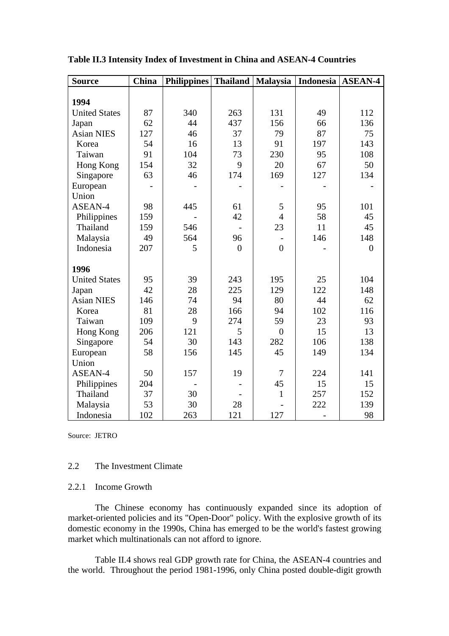| <b>Source</b>        | <b>China</b> | <b>Philippines</b> Thailand |                | <b>Malaysia</b> | Indonesia   ASEAN-4 |                |
|----------------------|--------------|-----------------------------|----------------|-----------------|---------------------|----------------|
|                      |              |                             |                |                 |                     |                |
| 1994                 |              |                             |                |                 |                     |                |
| <b>United States</b> | 87           | 340                         | 263            | 131             | 49                  | 112            |
| Japan                | 62           | 44                          | 437            | 156             | 66                  | 136            |
| <b>Asian NIES</b>    | 127          | 46                          | 37             | 79              | 87                  | 75             |
| Korea                | 54           | 16                          | 13             | 91              | 197                 | 143            |
| Taiwan               | 91           | 104                         | 73             | 230             | 95                  | 108            |
| Hong Kong            | 154          | 32                          | 9              | 20              | 67                  | 50             |
| Singapore            | 63           | 46                          | 174            | 169             | 127                 | 134            |
| European             |              |                             |                |                 |                     |                |
| Union                |              |                             |                |                 |                     |                |
| ASEAN-4              | 98           | 445                         | 61             | 5               | 95                  | 101            |
| Philippines          | 159          |                             | 42             | $\overline{4}$  | 58                  | 45             |
| Thailand             | 159          | 546                         |                | 23              | 11                  | 45             |
| Malaysia             | 49           | 564                         | 96             |                 | 146                 | 148            |
| Indonesia            | 207          | 5                           | $\overline{0}$ | $\overline{0}$  |                     | $\overline{0}$ |
| 1996                 |              |                             |                |                 |                     |                |
| <b>United States</b> | 95           | 39                          | 243            | 195             | 25                  | 104            |
| Japan                | 42           | 28                          | 225            | 129             | 122                 | 148            |
| <b>Asian NIES</b>    | 146          | 74                          | 94             | 80              | 44                  | 62             |
| Korea                | 81           | 28                          | 166            | 94              | 102                 | 116            |
| Taiwan               | 109          | 9                           | 274            | 59              | 23                  | 93             |
| Hong Kong            | 206          | 121                         | 5              | $\overline{0}$  | 15                  | 13             |
| Singapore            | 54           | 30                          | 143            | 282             | 106                 | 138            |
| European             | 58           | 156                         | 145            | 45              | 149                 | 134            |
| Union                |              |                             |                |                 |                     |                |
| ASEAN-4              | 50           | 157                         | 19             | $\overline{7}$  | 224                 | 141            |
| Philippines          | 204          |                             |                | 45              | 15                  | 15             |
| Thailand             | 37           | 30                          |                | $\mathbf{1}$    | 257                 | 152            |
| Malaysia             | 53           | 30                          | 28             |                 | 222                 | 139            |
| Indonesia            | 102          | 263                         | 121            | 127             |                     | 98             |

**Table II.3 Intensity Index of Investment in China and ASEAN-4 Countries**

Source: JETRO

#### 2.2 The Investment Climate

## 2.2.1 Income Growth

The Chinese economy has continuously expanded since its adoption of market-oriented policies and its "Open-Door" policy. With the explosive growth of its domestic economy in the 1990s, China has emerged to be the world's fastest growing market which multinationals can not afford to ignore.

Table II.4 shows real GDP growth rate for China, the ASEAN-4 countries and the world. Throughout the period 1981-1996, only China posted double-digit growth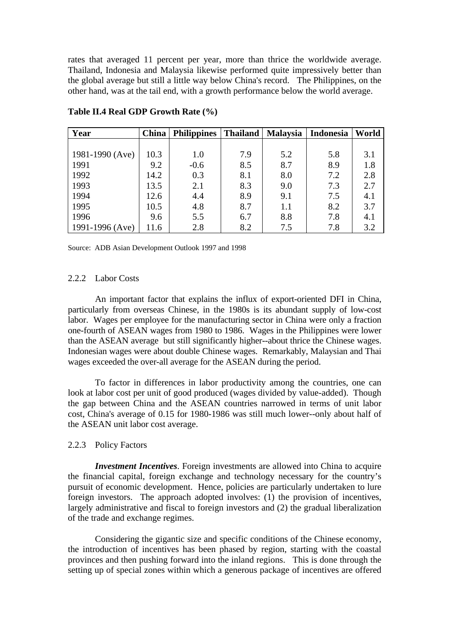rates that averaged 11 percent per year, more than thrice the worldwide average. Thailand, Indonesia and Malaysia likewise performed quite impressively better than the global average but still a little way below China's record. The Philippines, on the other hand, was at the tail end, with a growth performance below the world average.

| Year                | China | <b>Philippines</b> | <b>Thailand</b> | Malaysia   Indonesia |     | World |
|---------------------|-------|--------------------|-----------------|----------------------|-----|-------|
|                     |       |                    |                 |                      |     |       |
| 1981-1990 (Ave)     | 10.3  | 1.0                | 7.9             | 5.2                  | 5.8 | 3.1   |
| 1991                | 9.2   | $-0.6$             | 8.5             | 8.7                  | 8.9 | 1.8   |
| 1992                | 14.2  | 0.3                | 8.1             | 8.0                  | 7.2 | 2.8   |
| 1993                | 13.5  | 2.1                | 8.3             | 9.0                  | 7.3 | 2.7   |
| 1994                | 12.6  | 4.4                | 8.9             | 9.1                  | 7.5 | 4.1   |
| 1995                | 10.5  | 4.8                | 8.7             | 1.1                  | 8.2 | 3.7   |
| 1996                | 9.6   | 5.5                | 6.7             | 8.8                  | 7.8 | 4.1   |
| $1991 - 1996$ (Ave) | 11.6  | 2.8                | 8.2             | 7.5                  | 7.8 | 3.2   |

**Table II.4 Real GDP Growth Rate (%)**

Source: ADB Asian Development Outlook 1997 and 1998

## 2.2.2 Labor Costs

An important factor that explains the influx of export-oriented DFI in China, particularly from overseas Chinese, in the 1980s is its abundant supply of low-cost labor. Wages per employee for the manufacturing sector in China were only a fraction one-fourth of ASEAN wages from 1980 to 1986. Wages in the Philippines were lower than the ASEAN average but still significantly higher--about thrice the Chinese wages. Indonesian wages were about double Chinese wages. Remarkably, Malaysian and Thai wages exceeded the over-all average for the ASEAN during the period.

To factor in differences in labor productivity among the countries, one can look at labor cost per unit of good produced (wages divided by value-added). Though the gap between China and the ASEAN countries narrowed in terms of unit labor cost, China's average of 0.15 for 1980-1986 was still much lower--only about half of the ASEAN unit labor cost average.

#### 2.2.3 Policy Factors

*Investment Incentives*. Foreign investments are allowed into China to acquire the financial capital, foreign exchange and technology necessary for the country's pursuit of economic development. Hence, policies are particularly undertaken to lure foreign investors. The approach adopted involves: (1) the provision of incentives, largely administrative and fiscal to foreign investors and (2) the gradual liberalization of the trade and exchange regimes.

Considering the gigantic size and specific conditions of the Chinese economy, the introduction of incentives has been phased by region, starting with the coastal provinces and then pushing forward into the inland regions. This is done through the setting up of special zones within which a generous package of incentives are offered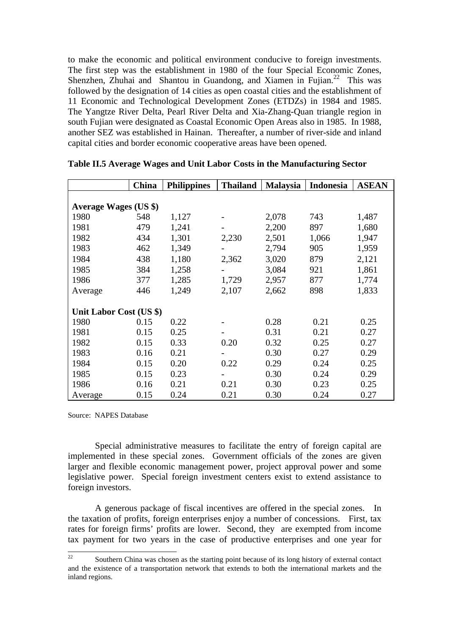to make the economic and political environment conducive to foreign investments. The first step was the establishment in 1980 of the four Special Economic Zones, Shenzhen, Zhuhai and Shantou in Guandong, and Xiamen in Fujian.<sup>22</sup> This was followed by the designation of 14 cities as open coastal cities and the establishment of 11 Economic and Technological Development Zones (ETDZs) in 1984 and 1985. The Yangtze River Delta, Pearl River Delta and Xia-Zhang-Quan triangle region in south Fujian were designated as Coastal Economic Open Areas also in 1985. In 1988, another SEZ was established in Hainan. Thereafter, a number of river-side and inland capital cities and border economic cooperative areas have been opened.

|                         | <b>China</b> | <b>Philippines</b> | <b>Thailand</b> | <b>Malaysia</b> | Indonesia | <b>ASEAN</b> |  |  |
|-------------------------|--------------|--------------------|-----------------|-----------------|-----------|--------------|--|--|
|                         |              |                    |                 |                 |           |              |  |  |
| Average Wages (US \$)   |              |                    |                 |                 |           |              |  |  |
| 1980                    | 548          | 1,127              |                 | 2,078           | 743       | 1,487        |  |  |
| 1981                    | 479          | 1,241              |                 | 2,200           | 897       | 1,680        |  |  |
| 1982                    | 434          | 1,301              | 2,230           | 2,501           | 1,066     | 1,947        |  |  |
| 1983                    | 462          | 1,349              |                 | 2,794           | 905       | 1,959        |  |  |
| 1984                    | 438          | 1,180              | 2,362           | 3,020           | 879       | 2,121        |  |  |
| 1985                    | 384          | 1,258              |                 | 3,084           | 921       | 1,861        |  |  |
| 1986                    | 377          | 1,285              | 1,729           | 2,957           | 877       | 1,774        |  |  |
| Average                 | 446          | 1,249              | 2,107           | 2,662           | 898       | 1,833        |  |  |
|                         |              |                    |                 |                 |           |              |  |  |
| Unit Labor Cost (US \$) |              |                    |                 |                 |           |              |  |  |
| 1980                    | 0.15         | 0.22               |                 | 0.28            | 0.21      | 0.25         |  |  |
| 1981                    | 0.15         | 0.25               |                 | 0.31            | 0.21      | 0.27         |  |  |
| 1982                    | 0.15         | 0.33               | 0.20            | 0.32            | 0.25      | 0.27         |  |  |
| 1983                    | 0.16         | 0.21               |                 | 0.30            | 0.27      | 0.29         |  |  |
| 1984                    | 0.15         | 0.20               | 0.22            | 0.29            | 0.24      | 0.25         |  |  |
| 1985                    | 0.15         | 0.23               |                 | 0.30            | 0.24      | 0.29         |  |  |
| 1986                    | 0.16         | 0.21               | 0.21            | 0.30            | 0.23      | 0.25         |  |  |
| Average                 | 0.15         | 0.24               | 0.21            | 0.30            | 0.24      | 0.27         |  |  |

**Table II.5 Average Wages and Unit Labor Costs in the Manufacturing Sector**

Source: NAPES Database

Special administrative measures to facilitate the entry of foreign capital are implemented in these special zones. Government officials of the zones are given larger and flexible economic management power, project approval power and some legislative power. Special foreign investment centers exist to extend assistance to foreign investors.

A generous package of fiscal incentives are offered in the special zones. In the taxation of profits, foreign enterprises enjoy a number of concessions. First, tax rates for foreign firms' profits are lower. Second, they are exempted from income tax payment for two years in the case of productive enterprises and one year for

 $\overline{22}$ <sup>22</sup> Southern China was chosen as the starting point because of its long history of external contact and the existence of a transportation network that extends to both the international markets and the inland regions.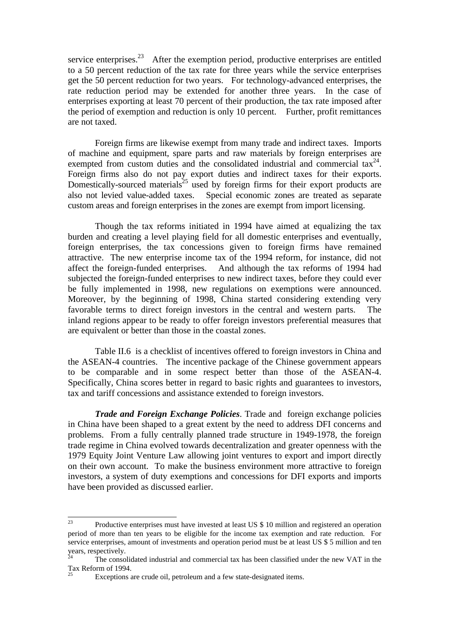service enterprises.<sup>23</sup> After the exemption period, productive enterprises are entitled to a 50 percent reduction of the tax rate for three years while the service enterprises get the 50 percent reduction for two years. For technology-advanced enterprises, the rate reduction period may be extended for another three years. In the case of enterprises exporting at least 70 percent of their production, the tax rate imposed after the period of exemption and reduction is only 10 percent. Further, profit remittances are not taxed.

Foreign firms are likewise exempt from many trade and indirect taxes. Imports of machine and equipment, spare parts and raw materials by foreign enterprises are exempted from custom duties and the consolidated industrial and commercial  $\text{tax}^{24}$ . Foreign firms also do not pay export duties and indirect taxes for their exports. Domestically-sourced materials<sup>25</sup> used by foreign firms for their export products are also not levied value-added taxes. Special economic zones are treated as separate custom areas and foreign enterprises in the zones are exempt from import licensing.

Though the tax reforms initiated in 1994 have aimed at equalizing the tax burden and creating a level playing field for all domestic enterprises and eventually, foreign enterprises, the tax concessions given to foreign firms have remained attractive. The new enterprise income tax of the 1994 reform, for instance, did not affect the foreign-funded enterprises. And although the tax reforms of 1994 had subjected the foreign-funded enterprises to new indirect taxes, before they could ever be fully implemented in 1998, new regulations on exemptions were announced. Moreover, by the beginning of 1998, China started considering extending very favorable terms to direct foreign investors in the central and western parts. The inland regions appear to be ready to offer foreign investors preferential measures that are equivalent or better than those in the coastal zones.

Table II.6 is a checklist of incentives offered to foreign investors in China and the ASEAN-4 countries. The incentive package of the Chinese government appears to be comparable and in some respect better than those of the ASEAN-4. Specifically, China scores better in regard to basic rights and guarantees to investors, tax and tariff concessions and assistance extended to foreign investors.

*Trade and Foreign Exchange Policies*. Trade and foreign exchange policies in China have been shaped to a great extent by the need to address DFI concerns and problems. From a fully centrally planned trade structure in 1949-1978, the foreign trade regime in China evolved towards decentralization and greater openness with the 1979 Equity Joint Venture Law allowing joint ventures to export and import directly on their own account. To make the business environment more attractive to foreign investors, a system of duty exemptions and concessions for DFI exports and imports have been provided as discussed earlier.

<sup>23</sup> Productive enterprises must have invested at least US \$ 10 million and registered an operation period of more than ten years to be eligible for the income tax exemption and rate reduction. For service enterprises, amount of investments and operation period must be at least US \$ 5 million and ten years, respectively.

<sup>24</sup> The consolidated industrial and commercial tax has been classified under the new VAT in the Tax Reform of 1994.

Exceptions are crude oil, petroleum and a few state-designated items.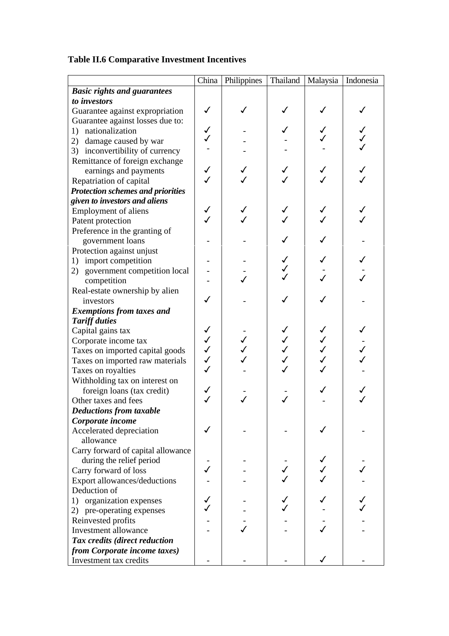# **Table II.6 Comparative Investment Incentives**

|                                          | China        | Philippines | Thailand     | Malaysia | Indonesia |
|------------------------------------------|--------------|-------------|--------------|----------|-----------|
| <b>Basic rights and guarantees</b>       |              |             |              |          |           |
| to investors                             |              |             |              |          |           |
| Guarantee against expropriation          | ✓            |             |              |          |           |
| Guarantee against losses due to:         |              |             |              |          |           |
| nationalization<br>1)                    | $\checkmark$ |             |              |          |           |
| 2) damage caused by war                  |              |             |              |          |           |
| 3) inconvertibility of currency          |              |             |              |          |           |
| Remittance of foreign exchange           |              |             |              |          |           |
| earnings and payments                    | ✓            |             |              |          |           |
| Repatriation of capital                  |              |             |              |          |           |
| <b>Protection schemes and priorities</b> |              |             |              |          |           |
| given to investors and aliens            |              |             |              |          |           |
| <b>Employment of aliens</b>              | ✓            |             |              |          |           |
| Patent protection                        |              |             |              |          |           |
| Preference in the granting of            |              |             |              |          |           |
| government loans                         |              |             |              |          |           |
| Protection against unjust                |              |             |              |          |           |
| 1) import competition                    |              |             |              |          |           |
| 2) government competition local          |              |             | $\checkmark$ |          |           |
| competition                              |              |             |              |          |           |
| Real-estate ownership by alien           |              |             |              |          |           |
| investors                                |              |             |              |          |           |
| <b>Exemptions from taxes and</b>         |              |             |              |          |           |
| <b>Tariff duties</b>                     |              |             |              |          |           |
| Capital gains tax                        | $\checkmark$ |             |              |          |           |
| Corporate income tax                     | $\checkmark$ |             |              |          |           |
| Taxes on imported capital goods          | $\checkmark$ |             |              |          |           |
| Taxes on imported raw materials          | $\checkmark$ |             |              |          |           |
| Taxes on royalties                       | $\checkmark$ |             |              |          |           |
| Withholding tax on interest on           |              |             |              |          |           |
| foreign loans (tax credit)               | $\checkmark$ |             |              |          |           |
| Other taxes and fees                     | $\checkmark$ |             |              |          |           |
| <b>Deductions from taxable</b>           |              |             |              |          |           |
| Corporate income                         |              |             |              |          |           |
| Accelerated depreciation                 |              |             |              |          |           |
| allowance                                |              |             |              |          |           |
| Carry forward of capital allowance       |              |             |              |          |           |
| during the relief period                 |              |             |              |          |           |
| Carry forward of loss                    |              |             |              |          |           |
| Export allowances/deductions             |              |             |              |          |           |
| Deduction of                             |              |             |              |          |           |
| 1) organization expenses                 |              |             |              |          |           |
| 2) pre-operating expenses                |              |             |              |          |           |
| Reinvested profits                       |              |             |              |          |           |
| Investment allowance                     |              |             |              |          |           |
| Tax credits (direct reduction            |              |             |              |          |           |
| from Corporate income taxes)             |              |             |              |          |           |
| Investment tax credits                   |              |             |              |          |           |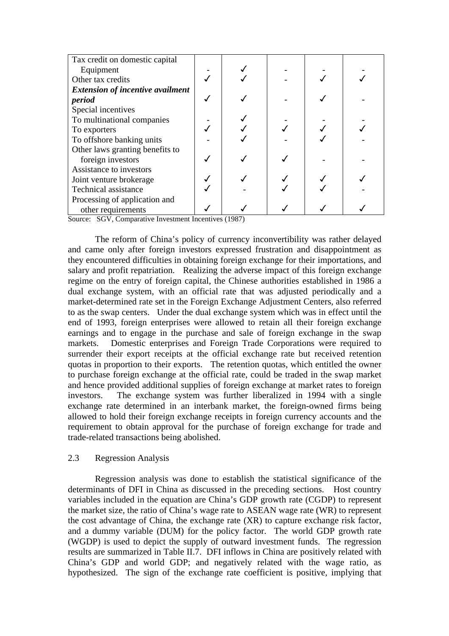| Tax credit on domestic capital          |  |  |  |
|-----------------------------------------|--|--|--|
| Equipment                               |  |  |  |
| Other tax credits                       |  |  |  |
| <b>Extension of incentive availment</b> |  |  |  |
| period                                  |  |  |  |
| Special incentives                      |  |  |  |
| To multinational companies              |  |  |  |
| To exporters                            |  |  |  |
| To offshore banking units               |  |  |  |
| Other laws granting benefits to         |  |  |  |
| foreign investors                       |  |  |  |
| Assistance to investors                 |  |  |  |
| Joint venture brokerage                 |  |  |  |
| <b>Technical assistance</b>             |  |  |  |
| Processing of application and           |  |  |  |
| other requirements                      |  |  |  |

Source: SGV, Comparative Investment Incentives (1987)

The reform of China's policy of currency inconvertibility was rather delayed and came only after foreign investors expressed frustration and disappointment as they encountered difficulties in obtaining foreign exchange for their importations, and salary and profit repatriation. Realizing the adverse impact of this foreign exchange regime on the entry of foreign capital, the Chinese authorities established in 1986 a dual exchange system, with an official rate that was adjusted periodically and a market-determined rate set in the Foreign Exchange Adjustment Centers, also referred to as the swap centers. Under the dual exchange system which was in effect until the end of 1993, foreign enterprises were allowed to retain all their foreign exchange earnings and to engage in the purchase and sale of foreign exchange in the swap markets. Domestic enterprises and Foreign Trade Corporations were required to surrender their export receipts at the official exchange rate but received retention quotas in proportion to their exports. The retention quotas, which entitled the owner to purchase foreign exchange at the official rate, could be traded in the swap market and hence provided additional supplies of foreign exchange at market rates to foreign investors. The exchange system was further liberalized in 1994 with a single exchange rate determined in an interbank market, the foreign-owned firms being allowed to hold their foreign exchange receipts in foreign currency accounts and the requirement to obtain approval for the purchase of foreign exchange for trade and trade-related transactions being abolished.

#### 2.3 Regression Analysis

Regression analysis was done to establish the statistical significance of the determinants of DFI in China as discussed in the preceding sections. Host country variables included in the equation are China's GDP growth rate (CGDP) to represent the market size, the ratio of China's wage rate to ASEAN wage rate (WR) to represent the cost advantage of China, the exchange rate (XR) to capture exchange risk factor, and a dummy variable (DUM) for the policy factor. The world GDP growth rate (WGDP) is used to depict the supply of outward investment funds. The regression results are summarized in Table II.7. DFI inflows in China are positively related with China's GDP and world GDP; and negatively related with the wage ratio, as hypothesized. The sign of the exchange rate coefficient is positive, implying that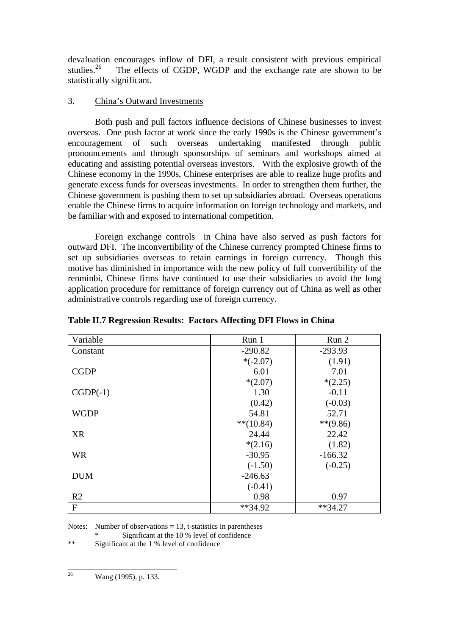devaluation encourages inflow of DFI, a result consistent with previous empirical studies.<sup>26</sup> The effects of CGDP, WGDP and the exchange rate are shown to be statistically significant.

# 3. China's Outward Investments

Both push and pull factors influence decisions of Chinese businesses to invest overseas. One push factor at work since the early 1990s is the Chinese government's encouragement of such overseas undertaking manifested through public pronouncements and through sponsorships of seminars and workshops aimed at educating and assisting potential overseas investors. With the explosive growth of the Chinese economy in the 1990s, Chinese enterprises are able to realize huge profits and generate excess funds for overseas investments. In order to strengthen them further, the Chinese government is pushing them to set up subsidiaries abroad. Overseas operations enable the Chinese firms to acquire information on foreign technology and markets, and be familiar with and exposed to international competition.

Foreign exchange controls in China have also served as push factors for outward DFI. The inconvertibility of the Chinese currency prompted Chinese firms to set up subsidiaries overseas to retain earnings in foreign currency. Though this motive has diminished in importance with the new policy of full convertibility of the renminbi, Chinese firms have continued to use their subsidiaries to avoid the long application procedure for remittance of foreign currency out of China as well as other administrative controls regarding use of foreign currency.

| Variable       | Run 1       | Run 2      |
|----------------|-------------|------------|
| Constant       | $-290.82$   | $-293.93$  |
|                | $*(-2.07)$  | (1.91)     |
| <b>CGDP</b>    | 6.01        | 7.01       |
|                | $*(2.07)$   | $*(2.25)$  |
| $CGDP(-1)$     | 1.30        | $-0.11$    |
|                | (0.42)      | $(-0.03)$  |
| <b>WGDP</b>    | 54.81       | 52.71      |
|                | $**(10.84)$ | $**(9.86)$ |
| <b>XR</b>      | 24.44       | 22.42      |
|                | $*(2.16)$   | (1.82)     |
| <b>WR</b>      | $-30.95$    | $-166.32$  |
|                | $(-1.50)$   | $(-0.25)$  |
| <b>DUM</b>     | $-246.63$   |            |
|                | $(-0.41)$   |            |
| R <sub>2</sub> | 0.98        | 0.97       |
| $\mathbf F$    | $**34.92$   | $**34.27$  |

# **Table II.7 Regression Results: Factors Affecting DFI Flows in China**

Notes: Number of observations  $= 13$ , t-statistics in parentheses

Significant at the  $10%$  level of confidence

\*\* Significant at the 1 % level of confidence

 $26$ 

Wang (1995), p. 133.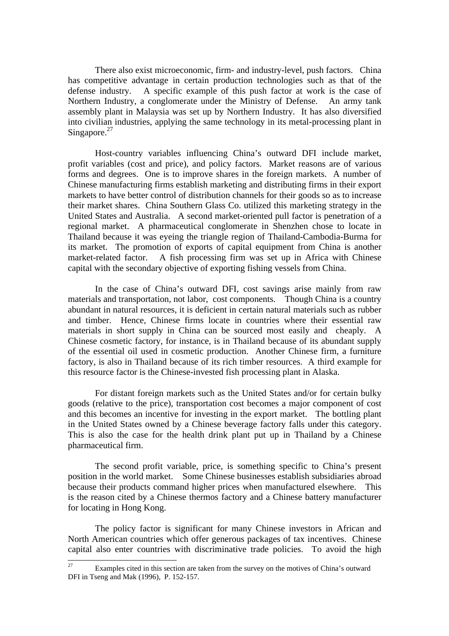There also exist microeconomic, firm- and industry-level, push factors. China has competitive advantage in certain production technologies such as that of the defense industry. A specific example of this push factor at work is the case of Northern Industry, a conglomerate under the Ministry of Defense. An army tank assembly plant in Malaysia was set up by Northern Industry. It has also diversified into civilian industries, applying the same technology in its metal-processing plant in Singapore. $27$ 

Host-country variables influencing China's outward DFI include market, profit variables (cost and price), and policy factors. Market reasons are of various forms and degrees. One is to improve shares in the foreign markets. A number of Chinese manufacturing firms establish marketing and distributing firms in their export markets to have better control of distribution channels for their goods so as to increase their market shares. China Southern Glass Co. utilized this marketing strategy in the United States and Australia. A second market-oriented pull factor is penetration of a regional market. A pharmaceutical conglomerate in Shenzhen chose to locate in Thailand because it was eyeing the triangle region of Thailand-Cambodia-Burma for its market. The promotion of exports of capital equipment from China is another market-related factor. A fish processing firm was set up in Africa with Chinese capital with the secondary objective of exporting fishing vessels from China.

In the case of China's outward DFI, cost savings arise mainly from raw materials and transportation, not labor, cost components. Though China is a country abundant in natural resources, it is deficient in certain natural materials such as rubber and timber. Hence, Chinese firms locate in countries where their essential raw materials in short supply in China can be sourced most easily and cheaply. A Chinese cosmetic factory, for instance, is in Thailand because of its abundant supply of the essential oil used in cosmetic production. Another Chinese firm, a furniture factory, is also in Thailand because of its rich timber resources. A third example for this resource factor is the Chinese-invested fish processing plant in Alaska.

For distant foreign markets such as the United States and/or for certain bulky goods (relative to the price), transportation cost becomes a major component of cost and this becomes an incentive for investing in the export market. The bottling plant in the United States owned by a Chinese beverage factory falls under this category. This is also the case for the health drink plant put up in Thailand by a Chinese pharmaceutical firm.

The second profit variable, price, is something specific to China's present position in the world market. Some Chinese businesses establish subsidiaries abroad because their products command higher prices when manufactured elsewhere. This is the reason cited by a Chinese thermos factory and a Chinese battery manufacturer for locating in Hong Kong.

The policy factor is significant for many Chinese investors in African and North American countries which offer generous packages of tax incentives. Chinese capital also enter countries with discriminative trade policies. To avoid the high

<sup>27</sup> Examples cited in this section are taken from the survey on the motives of China's outward DFI in Tseng and Mak (1996), P. 152-157.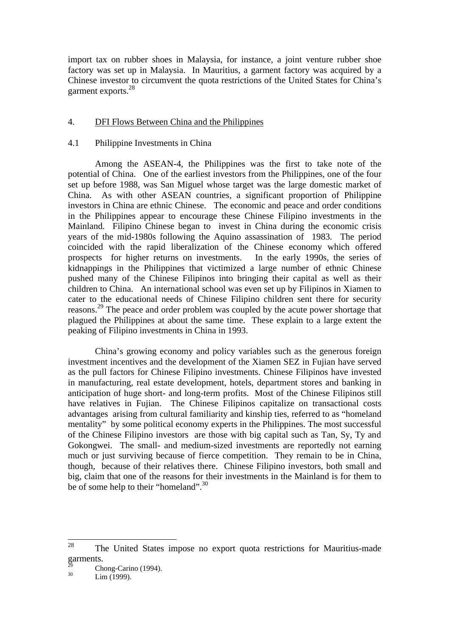import tax on rubber shoes in Malaysia, for instance, a joint venture rubber shoe factory was set up in Malaysia. In Mauritius, a garment factory was acquired by a Chinese investor to circumvent the quota restrictions of the United States for China's garment exports.<sup>28</sup>

# 4. DFI Flows Between China and the Philippines

## 4.1 Philippine Investments in China

Among the ASEAN-4, the Philippines was the first to take note of the potential of China. One of the earliest investors from the Philippines, one of the four set up before 1988, was San Miguel whose target was the large domestic market of China. As with other ASEAN countries, a significant proportion of Philippine investors in China are ethnic Chinese. The economic and peace and order conditions in the Philippines appear to encourage these Chinese Filipino investments in the Mainland. Filipino Chinese began to invest in China during the economic crisis years of the mid-1980s following the Aquino assassination of 1983. The period coincided with the rapid liberalization of the Chinese economy which offered prospects for higher returns on investments. In the early 1990s, the series of kidnappings in the Philippines that victimized a large number of ethnic Chinese pushed many of the Chinese Filipinos into bringing their capital as well as their children to China. An international school was even set up by Filipinos in Xiamen to cater to the educational needs of Chinese Filipino children sent there for security reasons.<sup>29</sup> The peace and order problem was coupled by the acute power shortage that plagued the Philippines at about the same time. These explain to a large extent the peaking of Filipino investments in China in 1993.

China's growing economy and policy variables such as the generous foreign investment incentives and the development of the Xiamen SEZ in Fujian have served as the pull factors for Chinese Filipino investments. Chinese Filipinos have invested in manufacturing, real estate development, hotels, department stores and banking in anticipation of huge short- and long-term profits. Most of the Chinese Filipinos still have relatives in Fujian. The Chinese Filipinos capitalize on transactional costs advantages arising from cultural familiarity and kinship ties, referred to as "homeland mentality" by some political economy experts in the Philippines. The most successful of the Chinese Filipino investors are those with big capital such as Tan, Sy, Ty and Gokongwei. The small- and medium-sized investments are reportedly not earning much or just surviving because of fierce competition. They remain to be in China, though, because of their relatives there. Chinese Filipino investors, both small and big, claim that one of the reasons for their investments in the Mainland is for them to be of some help to their "homeland".<sup>30</sup>

<sup>28</sup> The United States impose no export quota restrictions for Mauritius-made garments.

 $^{29}$  Chong-Carino (1994).

 $Lim$  (1999).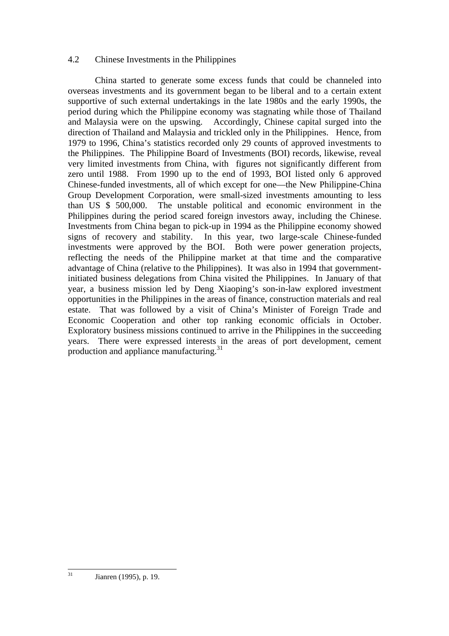# 4.2 Chinese Investments in the Philippines

China started to generate some excess funds that could be channeled into overseas investments and its government began to be liberal and to a certain extent supportive of such external undertakings in the late 1980s and the early 1990s, the period during which the Philippine economy was stagnating while those of Thailand and Malaysia were on the upswing. Accordingly, Chinese capital surged into the direction of Thailand and Malaysia and trickled only in the Philippines. Hence, from 1979 to 1996, China's statistics recorded only 29 counts of approved investments to the Philippines. The Philippine Board of Investments (BOI) records, likewise, reveal very limited investments from China, with figures not significantly different from zero until 1988. From 1990 up to the end of 1993, BOI listed only 6 approved Chinese-funded investments, all of which except for one—the New Philippine-China Group Development Corporation, were small-sized investments amounting to less than US \$ 500,000. The unstable political and economic environment in the The unstable political and economic environment in the Philippines during the period scared foreign investors away, including the Chinese. Investments from China began to pick-up in 1994 as the Philippine economy showed signs of recovery and stability. In this year, two large-scale Chinese-funded investments were approved by the BOI. Both were power generation projects, reflecting the needs of the Philippine market at that time and the comparative advantage of China (relative to the Philippines). It was also in 1994 that governmentinitiated business delegations from China visited the Philippines. In January of that year, a business mission led by Deng Xiaoping's son-in-law explored investment opportunities in the Philippines in the areas of finance, construction materials and real estate. That was followed by a visit of China's Minister of Foreign Trade and Economic Cooperation and other top ranking economic officials in October. Exploratory business missions continued to arrive in the Philippines in the succeeding years. There were expressed interests in the areas of port development, cement production and appliance manufacturing.<sup>31</sup>

 $31$ Jianren (1995), p. 19.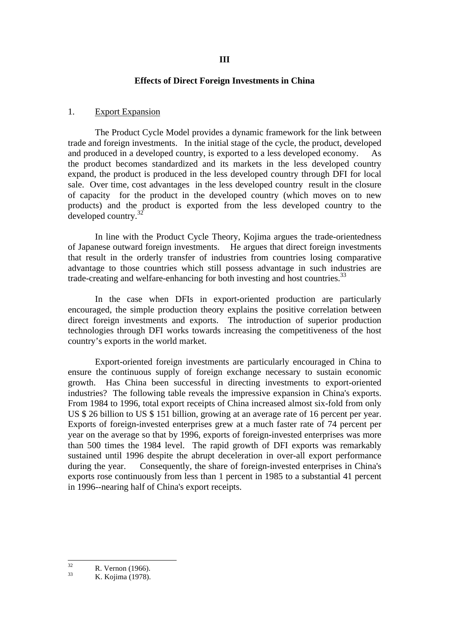#### **Effects of Direct Foreign Investments in China**

#### 1. Export Expansion

The Product Cycle Model provides a dynamic framework for the link between trade and foreign investments. In the initial stage of the cycle, the product, developed and produced in a developed country, is exported to a less developed economy. As the product becomes standardized and its markets in the less developed country expand, the product is produced in the less developed country through DFI for local sale. Over time, cost advantages in the less developed country result in the closure of capacity for the product in the developed country (which moves on to new products) and the product is exported from the less developed country to the developed country.<sup>32</sup>

In line with the Product Cycle Theory, Kojima argues the trade-orientedness of Japanese outward foreign investments. He argues that direct foreign investments that result in the orderly transfer of industries from countries losing comparative advantage to those countries which still possess advantage in such industries are trade-creating and welfare-enhancing for both investing and host countries.<sup>33</sup>

In the case when DFIs in export-oriented production are particularly encouraged, the simple production theory explains the positive correlation between direct foreign investments and exports. The introduction of superior production technologies through DFI works towards increasing the competitiveness of the host country's exports in the world market.

Export-oriented foreign investments are particularly encouraged in China to ensure the continuous supply of foreign exchange necessary to sustain economic growth. Has China been successful in directing investments to export-oriented industries? The following table reveals the impressive expansion in China's exports. From 1984 to 1996, total export receipts of China increased almost six-fold from only US \$ 26 billion to US \$ 151 billion, growing at an average rate of 16 percent per year. Exports of foreign-invested enterprises grew at a much faster rate of 74 percent per year on the average so that by 1996, exports of foreign-invested enterprises was more than 500 times the 1984 level. The rapid growth of DFI exports was remarkably sustained until 1996 despite the abrupt deceleration in over-all export performance during the year. Consequently, the share of foreign-invested enterprises in China's exports rose continuously from less than 1 percent in 1985 to a substantial 41 percent in 1996--nearing half of China's export receipts.

 $32$  $\frac{32}{33}$  R. Vernon (1966).

K. Kojima (1978).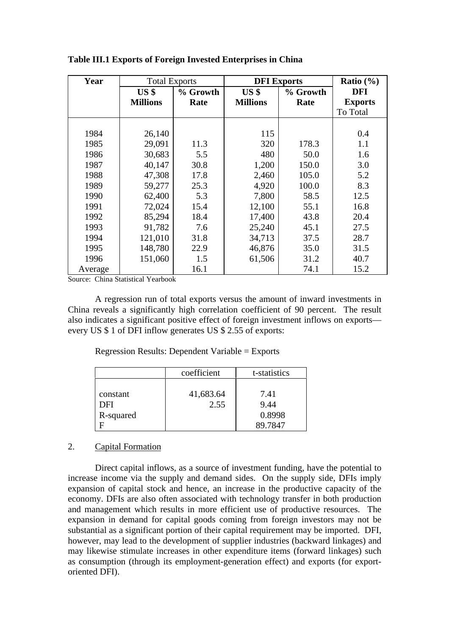| Year    | <b>Total Exports</b> |          | <b>DFI</b> Exports |          | Ratio $(\% )$  |
|---------|----------------------|----------|--------------------|----------|----------------|
|         | US <sub>s</sub>      | % Growth | US <sub>s</sub>    | % Growth | <b>DFI</b>     |
|         | <b>Millions</b>      | Rate     | <b>Millions</b>    | Rate     | <b>Exports</b> |
|         |                      |          |                    |          | To Total       |
|         |                      |          |                    |          |                |
| 1984    | 26,140               |          | 115                |          | 0.4            |
| 1985    | 29,091               | 11.3     | 320                | 178.3    | 1.1            |
| 1986    | 30,683               | 5.5      | 480                | 50.0     | 1.6            |
| 1987    | 40,147               | 30.8     | 1,200              | 150.0    | 3.0            |
| 1988    | 47,308               | 17.8     | 2,460              | 105.0    | 5.2            |
| 1989    | 59,277               | 25.3     | 4,920              | 100.0    | 8.3            |
| 1990    | 62,400               | 5.3      | 7,800              | 58.5     | 12.5           |
| 1991    | 72,024               | 15.4     | 12,100             | 55.1     | 16.8           |
| 1992    | 85,294               | 18.4     | 17,400             | 43.8     | 20.4           |
| 1993    | 91,782               | 7.6      | 25,240             | 45.1     | 27.5           |
| 1994    | 121,010              | 31.8     | 34,713             | 37.5     | 28.7           |
| 1995    | 148,780              | 22.9     | 46,876             | 35.0     | 31.5           |
| 1996    | 151,060              | 1.5      | 61,506             | 31.2     | 40.7           |
| Average |                      | 16.1     |                    | 74.1     | 15.2           |

**Table III.1 Exports of Foreign Invested Enterprises in China**

Source: China Statistical Yearbook

A regression run of total exports versus the amount of inward investments in China reveals a significantly high correlation coefficient of 90 percent. The result also indicates a significant positive effect of foreign investment inflows on exports every US \$ 1 of DFI inflow generates US \$ 2.55 of exports:

Regression Results: Dependent Variable = Exports

|                              | coefficient       | t-statistics           |
|------------------------------|-------------------|------------------------|
| constant<br>DFI<br>R-squared | 41,683.64<br>2.55 | 7.41<br>9.44<br>0.8998 |
|                              |                   | 89.7847                |

#### 2. Capital Formation

Direct capital inflows, as a source of investment funding, have the potential to increase income via the supply and demand sides. On the supply side, DFIs imply expansion of capital stock and hence, an increase in the productive capacity of the economy. DFIs are also often associated with technology transfer in both production and management which results in more efficient use of productive resources. The expansion in demand for capital goods coming from foreign investors may not be substantial as a significant portion of their capital requirement may be imported. DFI, however, may lead to the development of supplier industries (backward linkages) and may likewise stimulate increases in other expenditure items (forward linkages) such as consumption (through its employment-generation effect) and exports (for exportoriented DFI).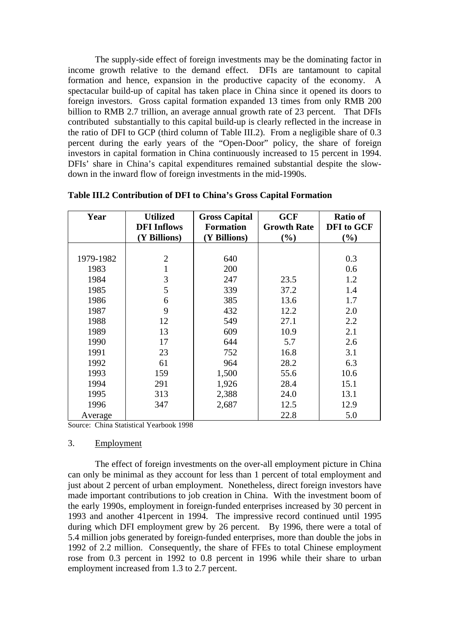The supply-side effect of foreign investments may be the dominating factor in income growth relative to the demand effect. DFIs are tantamount to capital formation and hence, expansion in the productive capacity of the economy. A spectacular build-up of capital has taken place in China since it opened its doors to foreign investors. Gross capital formation expanded 13 times from only RMB 200 billion to RMB 2.7 trillion, an average annual growth rate of 23 percent. That DFIs contributed substantially to this capital build-up is clearly reflected in the increase in the ratio of DFI to GCP (third column of Table III.2). From a negligible share of 0.3 percent during the early years of the "Open-Door" policy, the share of foreign investors in capital formation in China continuously increased to 15 percent in 1994. DFIs' share in China's capital expenditures remained substantial despite the slowdown in the inward flow of foreign investments in the mid-1990s.

| Year      | <b>Utilized</b>    | <b>Gross Capital</b> | <b>GCF</b>         | <b>Ratio of</b>   |
|-----------|--------------------|----------------------|--------------------|-------------------|
|           | <b>DFI</b> Inflows | <b>Formation</b>     | <b>Growth Rate</b> | <b>DFI</b> to GCF |
|           | (Y Billions)       | (Y Billions)         | (%)                | $(\%)$            |
|           |                    |                      |                    |                   |
| 1979-1982 | $\overline{2}$     | 640                  |                    | 0.3               |
| 1983      |                    | 200                  |                    | 0.6               |
| 1984      | 3                  | 247                  | 23.5               | 1.2               |
| 1985      | 5                  | 339                  | 37.2               | 1.4               |
| 1986      | 6                  | 385                  | 13.6               | 1.7               |
| 1987      | 9                  | 432                  | 12.2               | 2.0               |
| 1988      | 12                 | 549                  | 27.1               | 2.2               |
| 1989      | 13                 | 609                  | 10.9               | 2.1               |
| 1990      | 17                 | 644                  | 5.7                | 2.6               |
| 1991      | 23                 | 752                  | 16.8               | 3.1               |
| 1992      | 61                 | 964                  | 28.2               | 6.3               |
| 1993      | 159                | 1,500                | 55.6               | 10.6              |
| 1994      | 291                | 1,926                | 28.4               | 15.1              |
| 1995      | 313                | 2,388                | 24.0               | 13.1              |
| 1996      | 347                | 2,687                | 12.5               | 12.9              |
| Average   |                    |                      | 22.8               | 5.0               |

| Table III.2 Contribution of DFI to China's Gross Capital Formation |
|--------------------------------------------------------------------|
|--------------------------------------------------------------------|

Source: China Statistical Yearbook 1998

#### 3. Employment

The effect of foreign investments on the over-all employment picture in China can only be minimal as they account for less than 1 percent of total employment and just about 2 percent of urban employment. Nonetheless, direct foreign investors have made important contributions to job creation in China. With the investment boom of the early 1990s, employment in foreign-funded enterprises increased by 30 percent in 1993 and another 41percent in 1994. The impressive record continued until 1995 during which DFI employment grew by 26 percent. By 1996, there were a total of 5.4 million jobs generated by foreign-funded enterprises, more than double the jobs in 1992 of 2.2 million. Consequently, the share of FFEs to total Chinese employment rose from 0.3 percent in 1992 to 0.8 percent in 1996 while their share to urban employment increased from 1.3 to 2.7 percent.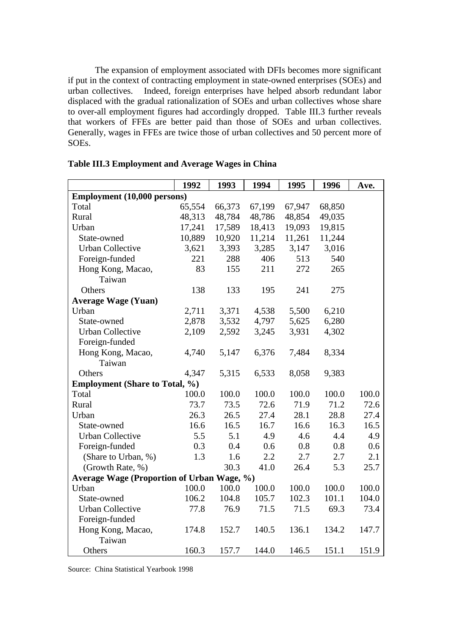The expansion of employment associated with DFIs becomes more significant if put in the context of contracting employment in state-owned enterprises (SOEs) and urban collectives. Indeed, foreign enterprises have helped absorb redundant labor displaced with the gradual rationalization of SOEs and urban collectives whose share to over-all employment figures had accordingly dropped. Table III.3 further reveals that workers of FFEs are better paid than those of SOEs and urban collectives. Generally, wages in FFEs are twice those of urban collectives and 50 percent more of SOEs.

|                                            | 1992   | 1993   | 1994   | 1995   | 1996   | Ave.  |
|--------------------------------------------|--------|--------|--------|--------|--------|-------|
| Employment (10,000 persons)                |        |        |        |        |        |       |
| Total                                      | 65,554 | 66,373 | 67,199 | 67,947 | 68,850 |       |
| Rural                                      | 48,313 | 48,784 | 48,786 | 48,854 | 49,035 |       |
| Urban                                      | 17,241 | 17,589 | 18,413 | 19,093 | 19,815 |       |
| State-owned                                | 10,889 | 10,920 | 11,214 | 11,261 | 11,244 |       |
| <b>Urban Collective</b>                    | 3,621  | 3,393  | 3,285  | 3,147  | 3,016  |       |
| Foreign-funded                             | 221    | 288    | 406    | 513    | 540    |       |
| Hong Kong, Macao,                          | 83     | 155    | 211    | 272    | 265    |       |
| Taiwan                                     |        |        |        |        |        |       |
| Others                                     | 138    | 133    | 195    | 241    | 275    |       |
| <b>Average Wage (Yuan)</b>                 |        |        |        |        |        |       |
| Urban                                      | 2,711  | 3,371  | 4,538  | 5,500  | 6,210  |       |
| State-owned                                | 2,878  | 3,532  | 4,797  | 5,625  | 6,280  |       |
| <b>Urban Collective</b>                    | 2,109  | 2,592  | 3,245  | 3,931  | 4,302  |       |
| Foreign-funded                             |        |        |        |        |        |       |
| Hong Kong, Macao,                          | 4,740  | 5,147  | 6,376  | 7,484  | 8,334  |       |
| Taiwan                                     |        |        |        |        |        |       |
| Others                                     | 4,347  | 5,315  | 6,533  | 8,058  | 9,383  |       |
| <b>Employment (Share to Total, %)</b>      |        |        |        |        |        |       |
| Total                                      | 100.0  | 100.0  | 100.0  | 100.0  | 100.0  | 100.0 |
| Rural                                      | 73.7   | 73.5   | 72.6   | 71.9   | 71.2   | 72.6  |
| Urban                                      | 26.3   | 26.5   | 27.4   | 28.1   | 28.8   | 27.4  |
| State-owned                                | 16.6   | 16.5   | 16.7   | 16.6   | 16.3   | 16.5  |
| <b>Urban Collective</b>                    | 5.5    | 5.1    | 4.9    | 4.6    | 4.4    | 4.9   |
| Foreign-funded                             | 0.3    | 0.4    | 0.6    | 0.8    | 0.8    | 0.6   |
| (Share to Urban, %)                        | 1.3    | 1.6    | 2.2    | 2.7    | 2.7    | 2.1   |
| (Growth Rate, %)                           |        | 30.3   | 41.0   | 26.4   | 5.3    | 25.7  |
| Average Wage (Proportion of Urban Wage, %) |        |        |        |        |        |       |
| Urban                                      | 100.0  | 100.0  | 100.0  | 100.0  | 100.0  | 100.0 |
| State-owned                                | 106.2  | 104.8  | 105.7  | 102.3  | 101.1  | 104.0 |
| <b>Urban Collective</b>                    | 77.8   | 76.9   | 71.5   | 71.5   | 69.3   | 73.4  |
| Foreign-funded                             |        |        |        |        |        |       |
| Hong Kong, Macao,                          | 174.8  | 152.7  | 140.5  | 136.1  | 134.2  | 147.7 |
| Taiwan                                     |        |        |        |        |        |       |
| Others                                     | 160.3  | 157.7  | 144.0  | 146.5  | 151.1  | 151.9 |

## **Table III.3 Employment and Average Wages in China**

Source: China Statistical Yearbook 1998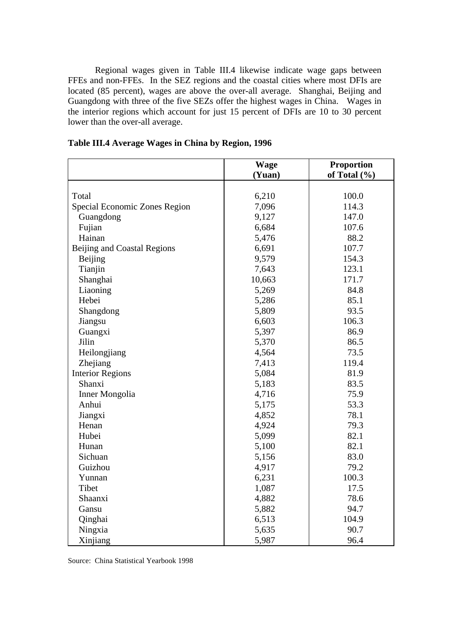Regional wages given in Table III.4 likewise indicate wage gaps between FFEs and non-FFEs. In the SEZ regions and the coastal cities where most DFIs are located (85 percent), wages are above the over-all average. Shanghai, Beijing and Guangdong with three of the five SEZs offer the highest wages in China. Wages in the interior regions which account for just 15 percent of DFIs are 10 to 30 percent lower than the over-all average.

|                               | <b>Wage</b> | <b>Proportion</b> |
|-------------------------------|-------------|-------------------|
|                               | (Yuan)      | of Total $(\% )$  |
|                               |             |                   |
| Total                         | 6,210       | 100.0             |
| Special Economic Zones Region | 7,096       | 114.3             |
| Guangdong                     | 9,127       | 147.0             |
| Fujian                        | 6,684       | 107.6             |
| Hainan                        | 5,476       | 88.2              |
| Beijing and Coastal Regions   | 6,691       | 107.7             |
| <b>Beijing</b>                | 9,579       | 154.3             |
| Tianjin                       | 7,643       | 123.1             |
| Shanghai                      | 10,663      | 171.7             |
| Liaoning                      | 5,269       | 84.8              |
| Hebei                         | 5,286       | 85.1              |
| Shangdong                     | 5,809       | 93.5              |
| Jiangsu                       | 6,603       | 106.3             |
| Guangxi                       | 5,397       | 86.9              |
| Jilin                         | 5,370       | 86.5              |
| Heilongjiang                  | 4,564       | 73.5              |
| Zhejiang                      | 7,413       | 119.4             |
| <b>Interior Regions</b>       | 5,084       | 81.9              |
| Shanxi                        | 5,183       | 83.5              |
| Inner Mongolia                | 4,716       | 75.9              |
| Anhui                         | 5,175       | 53.3              |
| Jiangxi                       | 4,852       | 78.1              |
| Henan                         | 4,924       | 79.3              |
| Hubei                         | 5,099       | 82.1              |
| Hunan                         | 5,100       | 82.1              |
| Sichuan                       | 5,156       | 83.0              |
| Guizhou                       | 4,917       | 79.2              |
| Yunnan                        | 6,231       | 100.3             |
| Tibet                         | 1,087       | 17.5              |
| Shaanxi                       | 4,882       | 78.6              |
| Gansu                         | 5,882       | 94.7              |
| Qinghai                       | 6,513       | 104.9             |
| Ningxia                       | 5,635       | 90.7              |
| Xinjiang                      | 5,987       | 96.4              |

**Table III.4 Average Wages in China by Region, 1996**

Source: China Statistical Yearbook 1998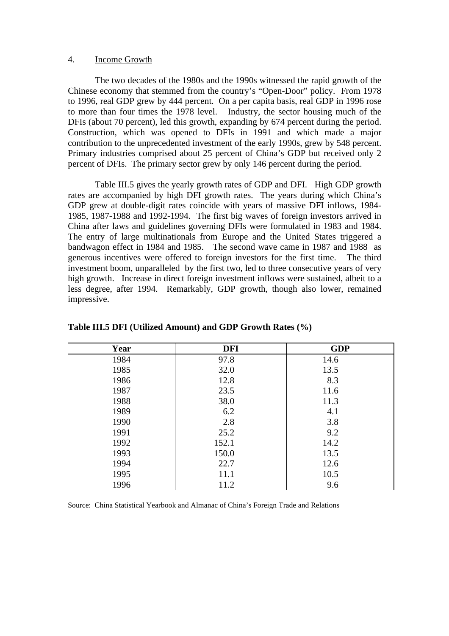#### 4. Income Growth

The two decades of the 1980s and the 1990s witnessed the rapid growth of the Chinese economy that stemmed from the country's "Open-Door" policy. From 1978 to 1996, real GDP grew by 444 percent. On a per capita basis, real GDP in 1996 rose to more than four times the 1978 level. Industry, the sector housing much of the DFIs (about 70 percent), led this growth, expanding by 674 percent during the period. Construction, which was opened to DFIs in 1991 and which made a major contribution to the unprecedented investment of the early 1990s, grew by 548 percent. Primary industries comprised about 25 percent of China's GDP but received only 2 percent of DFIs. The primary sector grew by only 146 percent during the period.

Table III.5 gives the yearly growth rates of GDP and DFI. High GDP growth rates are accompanied by high DFI growth rates. The years during which China's GDP grew at double-digit rates coincide with years of massive DFI inflows, 1984- 1985, 1987-1988 and 1992-1994. The first big waves of foreign investors arrived in China after laws and guidelines governing DFIs were formulated in 1983 and 1984. The entry of large multinationals from Europe and the United States triggered a bandwagon effect in 1984 and 1985. The second wave came in 1987 and 1988 as generous incentives were offered to foreign investors for the first time. The third investment boom, unparalleled by the first two, led to three consecutive years of very high growth. Increase in direct foreign investment inflows were sustained, albeit to a less degree, after 1994. Remarkably, GDP growth, though also lower, remained impressive.

| Year | <b>DFI</b> | <b>GDP</b> |
|------|------------|------------|
| 1984 | 97.8       | 14.6       |
| 1985 | 32.0       | 13.5       |
| 1986 | 12.8       | 8.3        |
| 1987 | 23.5       | 11.6       |
| 1988 | 38.0       | 11.3       |
| 1989 | 6.2        | 4.1        |
| 1990 | 2.8        | 3.8        |
| 1991 | 25.2       | 9.2        |
| 1992 | 152.1      | 14.2       |
| 1993 | 150.0      | 13.5       |
| 1994 | 22.7       | 12.6       |
| 1995 | 11.1       | 10.5       |
| 1996 | 11.2       | 9.6        |

#### **Table III.5 DFI (Utilized Amount) and GDP Growth Rates (%)**

Source: China Statistical Yearbook and Almanac of China's Foreign Trade and Relations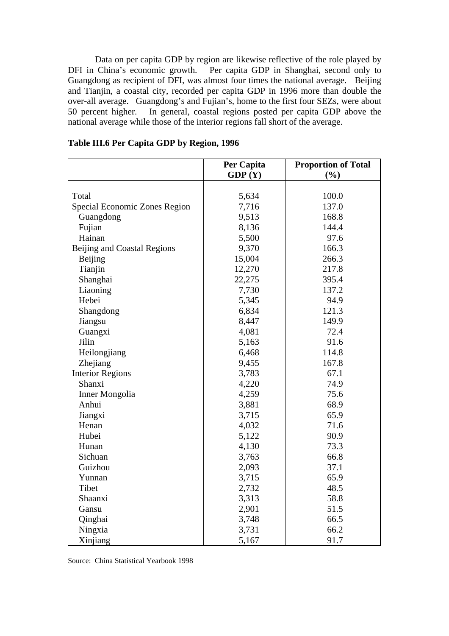Data on per capita GDP by region are likewise reflective of the role played by DFI in China's economic growth. Per capita GDP in Shanghai, second only to Guangdong as recipient of DFI, was almost four times the national average. Beijing and Tianjin, a coastal city, recorded per capita GDP in 1996 more than double the over-all average. Guangdong's and Fujian's, home to the first four SEZs, were about 50 percent higher. In general, coastal regions posted per capita GDP above the national average while those of the interior regions fall short of the average.

|                               | Per Capita | <b>Proportion of Total</b> |
|-------------------------------|------------|----------------------------|
|                               | GDP(Y)     | (%)                        |
|                               |            |                            |
| Total                         | 5,634      | 100.0                      |
| Special Economic Zones Region | 7,716      | 137.0                      |
| Guangdong                     | 9,513      | 168.8                      |
| Fujian                        | 8,136      | 144.4                      |
| Hainan                        | 5,500      | 97.6                       |
| Beijing and Coastal Regions   | 9,370      | 166.3                      |
| Beijing                       | 15,004     | 266.3                      |
| Tianjin                       | 12,270     | 217.8                      |
| Shanghai                      | 22,275     | 395.4                      |
| Liaoning                      | 7,730      | 137.2                      |
| Hebei                         | 5,345      | 94.9                       |
| Shangdong                     | 6,834      | 121.3                      |
| Jiangsu                       | 8,447      | 149.9                      |
| Guangxi                       | 4,081      | 72.4                       |
| Jilin                         | 5,163      | 91.6                       |
| Heilongjiang                  | 6,468      | 114.8                      |
| Zhejiang                      | 9,455      | 167.8                      |
| <b>Interior Regions</b>       | 3,783      | 67.1                       |
| Shanxi                        | 4,220      | 74.9                       |
| <b>Inner Mongolia</b>         | 4,259      | 75.6                       |
| Anhui                         | 3,881      | 68.9                       |
| Jiangxi                       | 3,715      | 65.9                       |
| Henan                         | 4,032      | 71.6                       |
| Hubei                         | 5,122      | 90.9                       |
| Hunan                         | 4,130      | 73.3                       |
| Sichuan                       | 3,763      | 66.8                       |
| Guizhou                       | 2,093      | 37.1                       |
| Yunnan                        | 3,715      | 65.9                       |
| Tibet                         | 2,732      | 48.5                       |
| Shaanxi                       | 3,313      | 58.8                       |
| Gansu                         | 2,901      | 51.5                       |
| Qinghai                       | 3,748      | 66.5                       |
| Ningxia                       | 3,731      | 66.2                       |
| Xinjiang                      | 5,167      | 91.7                       |

## **Table III.6 Per Capita GDP by Region, 1996**

Source: China Statistical Yearbook 1998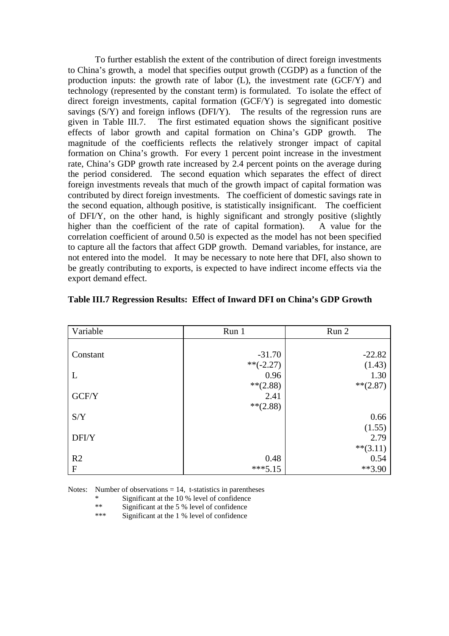To further establish the extent of the contribution of direct foreign investments to China's growth, a model that specifies output growth (CGDP) as a function of the production inputs: the growth rate of labor (L), the investment rate (GCF/Y) and technology (represented by the constant term) is formulated. To isolate the effect of direct foreign investments, capital formation (GCF/Y) is segregated into domestic savings (S/Y) and foreign inflows (DFI/Y). The results of the regression runs are given in Table III.7. The first estimated equation shows the significant positive effects of labor growth and capital formation on China's GDP growth. The magnitude of the coefficients reflects the relatively stronger impact of capital formation on China's growth. For every 1 percent point increase in the investment rate, China's GDP growth rate increased by 2.4 percent points on the average during the period considered. The second equation which separates the effect of direct foreign investments reveals that much of the growth impact of capital formation was contributed by direct foreign investments. The coefficient of domestic savings rate in the second equation, although positive, is statistically insignificant. The coefficient of DFI/Y, on the other hand, is highly significant and strongly positive (slightly higher than the coefficient of the rate of capital formation). A value for the correlation coefficient of around 0.50 is expected as the model has not been specified to capture all the factors that affect GDP growth. Demand variables, for instance, are not entered into the model. It may be necessary to note here that DFI, also shown to be greatly contributing to exports, is expected to have indirect income effects via the export demand effect.

| Variable       | Run 1       | Run 2       |
|----------------|-------------|-------------|
|                |             |             |
| Constant       | $-31.70$    | $-22.82$    |
|                | $**(-2.27)$ | (1.43)      |
| L              | 0.96        | 1.30        |
|                | $**$ (2.88) | $**(2.87)$  |
| GCF/Y          | 2.41        |             |
|                | $**(2.88)$  |             |
| S/Y            |             | 0.66        |
|                |             | (1.55)      |
| DFI/Y          |             | 2.79        |
|                |             | $***(3.11)$ |
| R <sub>2</sub> | 0.48        | 0.54        |
| $\mathbf F$    | $***5.15$   | $**3.90$    |

Notes: Number of observations  $= 14$ , t-statistics in parentheses

\* Significant at the 10 % level of confidence

\*\* Significant at the 5 % level of confidence

\*\*\* Significant at the 1 % level of confidence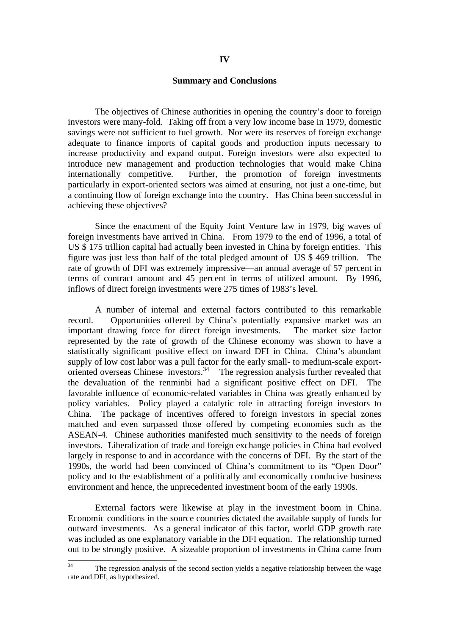#### **Summary and Conclusions**

The objectives of Chinese authorities in opening the country's door to foreign investors were many-fold. Taking off from a very low income base in 1979, domestic savings were not sufficient to fuel growth. Nor were its reserves of foreign exchange adequate to finance imports of capital goods and production inputs necessary to increase productivity and expand output. Foreign investors were also expected to introduce new management and production technologies that would make China internationally competitive. Further, the promotion of foreign investments particularly in export-oriented sectors was aimed at ensuring, not just a one-time, but a continuing flow of foreign exchange into the country. Has China been successful in achieving these objectives?

Since the enactment of the Equity Joint Venture law in 1979, big waves of foreign investments have arrived in China. From 1979 to the end of 1996, a total of US \$ 175 trillion capital had actually been invested in China by foreign entities. This figure was just less than half of the total pledged amount of US \$ 469 trillion. The rate of growth of DFI was extremely impressive—an annual average of 57 percent in terms of contract amount and 45 percent in terms of utilized amount. By 1996, inflows of direct foreign investments were 275 times of 1983's level.

A number of internal and external factors contributed to this remarkable record. Opportunities offered by China's potentially expansive market was an important drawing force for direct foreign investments. The market size factor represented by the rate of growth of the Chinese economy was shown to have a statistically significant positive effect on inward DFI in China. China's abundant supply of low cost labor was a pull factor for the early small- to medium-scale exportoriented overseas Chinese investors.<sup>34</sup> The regression analysis further revealed that the devaluation of the renminbi had a significant positive effect on DFI. The favorable influence of economic-related variables in China was greatly enhanced by policy variables. Policy played a catalytic role in attracting foreign investors to China. The package of incentives offered to foreign investors in special zones matched and even surpassed those offered by competing economies such as the ASEAN-4. Chinese authorities manifested much sensitivity to the needs of foreign investors. Liberalization of trade and foreign exchange policies in China had evolved largely in response to and in accordance with the concerns of DFI. By the start of the 1990s, the world had been convinced of China's commitment to its "Open Door" policy and to the establishment of a politically and economically conducive business environment and hence, the unprecedented investment boom of the early 1990s.

External factors were likewise at play in the investment boom in China. Economic conditions in the source countries dictated the available supply of funds for outward investments. As a general indicator of this factor, world GDP growth rate was included as one explanatory variable in the DFI equation. The relationship turned out to be strongly positive. A sizeable proportion of investments in China came from

 $34$ The regression analysis of the second section yields a negative relationship between the wage rate and DFI, as hypothesized.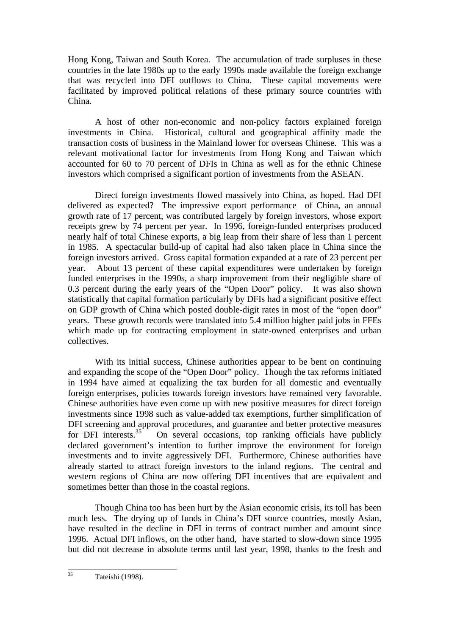Hong Kong, Taiwan and South Korea. The accumulation of trade surpluses in these countries in the late 1980s up to the early 1990s made available the foreign exchange that was recycled into DFI outflows to China. These capital movements were facilitated by improved political relations of these primary source countries with China.

A host of other non-economic and non-policy factors explained foreign investments in China. Historical, cultural and geographical affinity made the transaction costs of business in the Mainland lower for overseas Chinese. This was a relevant motivational factor for investments from Hong Kong and Taiwan which accounted for 60 to 70 percent of DFIs in China as well as for the ethnic Chinese investors which comprised a significant portion of investments from the ASEAN.

Direct foreign investments flowed massively into China, as hoped. Had DFI delivered as expected? The impressive export performance of China, an annual growth rate of 17 percent, was contributed largely by foreign investors, whose export receipts grew by 74 percent per year. In 1996, foreign-funded enterprises produced nearly half of total Chinese exports, a big leap from their share of less than 1 percent in 1985. A spectacular build-up of capital had also taken place in China since the foreign investors arrived. Gross capital formation expanded at a rate of 23 percent per year. About 13 percent of these capital expenditures were undertaken by foreign funded enterprises in the 1990s, a sharp improvement from their negligible share of 0.3 percent during the early years of the "Open Door" policy. It was also shown statistically that capital formation particularly by DFIs had a significant positive effect on GDP growth of China which posted double-digit rates in most of the "open door" years. These growth records were translated into 5.4 million higher paid jobs in FFEs which made up for contracting employment in state-owned enterprises and urban collectives.

With its initial success, Chinese authorities appear to be bent on continuing and expanding the scope of the "Open Door" policy. Though the tax reforms initiated in 1994 have aimed at equalizing the tax burden for all domestic and eventually foreign enterprises, policies towards foreign investors have remained very favorable. Chinese authorities have even come up with new positive measures for direct foreign investments since 1998 such as value-added tax exemptions, further simplification of DFI screening and approval procedures, and guarantee and better protective measures for DFI interests.<sup>35</sup> On several occasions, top ranking officials have publicly On several occasions, top ranking officials have publicly declared government's intention to further improve the environment for foreign investments and to invite aggressively DFI. Furthermore, Chinese authorities have already started to attract foreign investors to the inland regions. The central and western regions of China are now offering DFI incentives that are equivalent and sometimes better than those in the coastal regions.

Though China too has been hurt by the Asian economic crisis, its toll has been much less. The drying up of funds in China's DFI source countries, mostly Asian, have resulted in the decline in DFI in terms of contract number and amount since 1996. Actual DFI inflows, on the other hand, have started to slow-down since 1995 but did not decrease in absolute terms until last year, 1998, thanks to the fresh and

 $\overline{35}$ Tateishi (1998).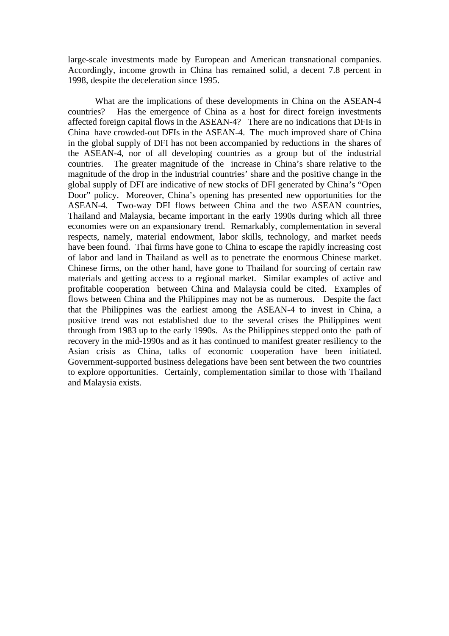large-scale investments made by European and American transnational companies. Accordingly, income growth in China has remained solid, a decent 7.8 percent in 1998, despite the deceleration since 1995.

What are the implications of these developments in China on the ASEAN-4 countries? Has the emergence of China as a host for direct foreign investments affected foreign capital flows in the ASEAN-4? There are no indications that DFIs in China have crowded-out DFIs in the ASEAN-4. The much improved share of China in the global supply of DFI has not been accompanied by reductions in the shares of the ASEAN-4, nor of all developing countries as a group but of the industrial countries. The greater magnitude of the increase in China's share relative to the magnitude of the drop in the industrial countries' share and the positive change in the global supply of DFI are indicative of new stocks of DFI generated by China's "Open Door" policy. Moreover, China's opening has presented new opportunities for the ASEAN-4. Two-way DFI flows between China and the two ASEAN countries, Thailand and Malaysia, became important in the early 1990s during which all three economies were on an expansionary trend. Remarkably, complementation in several respects, namely, material endowment, labor skills, technology, and market needs have been found. Thai firms have gone to China to escape the rapidly increasing cost of labor and land in Thailand as well as to penetrate the enormous Chinese market. Chinese firms, on the other hand, have gone to Thailand for sourcing of certain raw materials and getting access to a regional market. Similar examples of active and profitable cooperation between China and Malaysia could be cited. Examples of flows between China and the Philippines may not be as numerous. Despite the fact that the Philippines was the earliest among the ASEAN-4 to invest in China, a positive trend was not established due to the several crises the Philippines went through from 1983 up to the early 1990s. As the Philippines stepped onto the path of recovery in the mid-1990s and as it has continued to manifest greater resiliency to the Asian crisis as China, talks of economic cooperation have been initiated. Government-supported business delegations have been sent between the two countries to explore opportunities. Certainly, complementation similar to those with Thailand and Malaysia exists.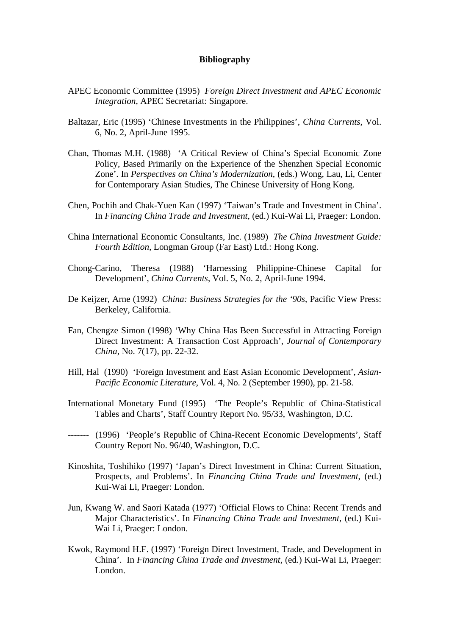#### **Bibliography**

- APEC Economic Committee (1995) *Foreign Direct Investment and APEC Economic Integration*, APEC Secretariat: Singapore.
- Baltazar, Eric (1995) 'Chinese Investments in the Philippines', *China Currents*, Vol. 6, No. 2, April-June 1995.
- Chan, Thomas M.H. (1988) 'A Critical Review of China's Special Economic Zone Policy, Based Primarily on the Experience of the Shenzhen Special Economic Zone'. In *Perspectives on China's Modernization*, (eds.) Wong, Lau, Li, Center for Contemporary Asian Studies, The Chinese University of Hong Kong.
- Chen, Pochih and Chak-Yuen Kan (1997) 'Taiwan's Trade and Investment in China'. In *Financing China Trade and Investment*, (ed.) Kui-Wai Li, Praeger: London.
- China International Economic Consultants, Inc. (1989) *The China Investment Guide: Fourth Edition*, Longman Group (Far East) Ltd.: Hong Kong.
- Chong-Carino, Theresa (1988) 'Harnessing Philippine-Chinese Capital for Development', *China Currents*, Vol. 5, No. 2, April-June 1994.
- De Keijzer, Arne (1992) *China: Business Strategies for the '90s*, Pacific View Press: Berkeley, California.
- Fan, Chengze Simon (1998) 'Why China Has Been Successful in Attracting Foreign Direct Investment: A Transaction Cost Approach', *Journal of Contemporary China*, No. 7(17), pp. 22-32.
- Hill, Hal (1990) 'Foreign Investment and East Asian Economic Development', *Asian-Pacific Economic Literature*, Vol. 4, No. 2 (September 1990), pp. 21-58.
- International Monetary Fund (1995) 'The People's Republic of China-Statistical Tables and Charts', Staff Country Report No. 95/33, Washington, D.C.
- ------- (1996) 'People's Republic of China-Recent Economic Developments', Staff Country Report No. 96/40, Washington, D.C.
- Kinoshita, Toshihiko (1997) 'Japan's Direct Investment in China: Current Situation, Prospects, and Problems'. In *Financing China Trade and Investment*, (ed.) Kui-Wai Li, Praeger: London.
- Jun, Kwang W. and Saori Katada (1977) 'Official Flows to China: Recent Trends and Major Characteristics'. In *Financing China Trade and Investment*, (ed.) Kui-Wai Li, Praeger: London.
- Kwok, Raymond H.F. (1997) 'Foreign Direct Investment, Trade, and Development in China'. In *Financing China Trade and Investment*, (ed.) Kui-Wai Li, Praeger: London.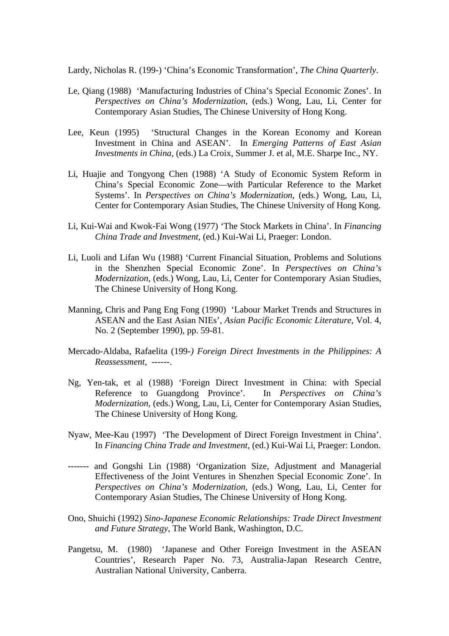Lardy, Nicholas R. (199-) 'China's Economic Transformation', *The China Quarterly*.

- Le, Qiang (1988) 'Manufacturing Industries of China's Special Economic Zones'. In *Perspectives on China's Modernization*, (eds.) Wong, Lau, Li, Center for Contemporary Asian Studies, The Chinese University of Hong Kong.
- Lee, Keun (1995) 'Structural Changes in the Korean Economy and Korean Investment in China and ASEAN'. In *Emerging Patterns of East Asian Investments in China*, (eds.) La Croix, Summer J. et al, M.E. Sharpe Inc., NY.
- Li, Huajie and Tongyong Chen (1988) 'A Study of Economic System Reform in China's Special Economic Zone—with Particular Reference to the Market Systems'. In *Perspectives on China's Modernization*, (eds.) Wong, Lau, Li, Center for Contemporary Asian Studies, The Chinese University of Hong Kong.
- Li, Kui-Wai and Kwok-Fai Wong (1977) 'The Stock Markets in China'. In *Financing China Trade and Investment*, (ed.) Kui-Wai Li, Praeger: London.
- Li, Luoli and Lifan Wu (1988) 'Current Financial Situation, Problems and Solutions in the Shenzhen Special Economic Zone'. In *Perspectives on China's Modernization*, (eds.) Wong, Lau, Li, Center for Contemporary Asian Studies, The Chinese University of Hong Kong.
- Manning, Chris and Pang Eng Fong (1990) 'Labour Market Trends and Structures in ASEAN and the East Asian NIEs', *Asian Pacific Economic Literature*, Vol. 4, No. 2 (September 1990), pp. 59-81.
- Mercado-Aldaba, Rafaelita (199*-) Foreign Direct Investments in the Philippines: A Reassessment*, ------.
- Ng, Yen-tak, et al (1988) 'Foreign Direct Investment in China: with Special Reference to Guangdong Province'. In *Perspectives on China's Modernization*, (eds.) Wong, Lau, Li, Center for Contemporary Asian Studies, The Chinese University of Hong Kong.
- Nyaw, Mee-Kau (1997) 'The Development of Direct Foreign Investment in China'. In *Financing China Trade and Investment*, (ed.) Kui-Wai Li, Praeger: London.
- ------- and Gongshi Lin (1988) 'Organization Size, Adjustment and Managerial Effectiveness of the Joint Ventures in Shenzhen Special Economic Zone'. In *Perspectives on China's Modernization*, (eds.) Wong, Lau, Li, Center for Contemporary Asian Studies, The Chinese University of Hong Kong.
- Ono, Shuichi (1992) *Sino-Japanese Economic Relationships: Trade Direct Investment and Future Strategy*, The World Bank, Washington, D.C.
- Pangetsu, M. (1980) 'Japanese and Other Foreign Investment in the ASEAN Countries', Research Paper No. 73, Australia-Japan Research Centre, Australian National University, Canberra.